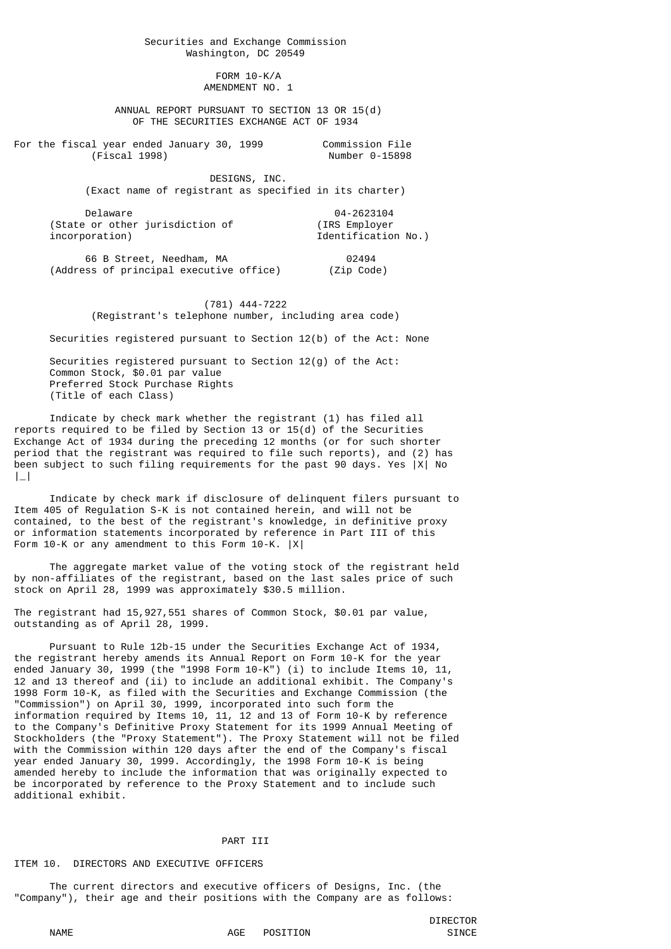Securities and Exchange Commission Washington, DC 20549

> FORM 10-K/A AMENDMENT NO. 1

 ANNUAL REPORT PURSUANT TO SECTION 13 OR 15(d) OF THE SECURITIES EXCHANGE ACT OF 1934

For the fiscal year ended January 30, 1999 Commission File Number 0-15898

> DESIGNS, INC. (Exact name of registrant as specified in its charter)

 Delaware 04-2623104 (State or other jurisdiction of (IRS Employer incorporation) Identification No.)

 66 B Street, Needham, MA 02494 (Address of principal executive office) (Zip Code)

> (781) 444-7222 (Registrant's telephone number, including area code)

Securities registered pursuant to Section 12(b) of the Act: None

 Securities registered pursuant to Section 12(g) of the Act: Common Stock, \$0.01 par value Preferred Stock Purchase Rights (Title of each Class)

 Indicate by check mark whether the registrant (1) has filed all reports required to be filed by Section 13 or 15(d) of the Securities Exchange Act of 1934 during the preceding 12 months (or for such shorter period that the registrant was required to file such reports), and (2) has been subject to such filing requirements for the past 90 days. Yes |X| No  $|$ 

 Indicate by check mark if disclosure of delinquent filers pursuant to Item 405 of Regulation S-K is not contained herein, and will not be contained, to the best of the registrant's knowledge, in definitive proxy or information statements incorporated by reference in Part III of this Form 10-K or any amendment to this Form 10-K. |X|

 The aggregate market value of the voting stock of the registrant held by non-affiliates of the registrant, based on the last sales price of such stock on April 28, 1999 was approximately \$30.5 million.

The registrant had 15,927,551 shares of Common Stock, \$0.01 par value, outstanding as of April 28, 1999.

 Pursuant to Rule 12b-15 under the Securities Exchange Act of 1934, the registrant hereby amends its Annual Report on Form 10-K for the year ended January 30, 1999 (the "1998 Form 10-K") (i) to include Items 10, 11, 12 and 13 thereof and (ii) to include an additional exhibit. The Company's 1998 Form 10-K, as filed with the Securities and Exchange Commission (the "Commission") on April 30, 1999, incorporated into such form the information required by Items 10, 11, 12 and 13 of Form 10-K by reference to the Company's Definitive Proxy Statement for its 1999 Annual Meeting of Stockholders (the "Proxy Statement"). The Proxy Statement will not be filed with the Commission within 120 days after the end of the Company's fiscal year ended January 30, 1999. Accordingly, the 1998 Form 10-K is being amended hereby to include the information that was originally expected to be incorporated by reference to the Proxy Statement and to include such additional exhibit.

#### PART III

# ITEM 10. DIRECTORS AND EXECUTIVE OFFICERS

 The current directors and executive officers of Designs, Inc. (the "Company"), their age and their positions with the Company are as follows: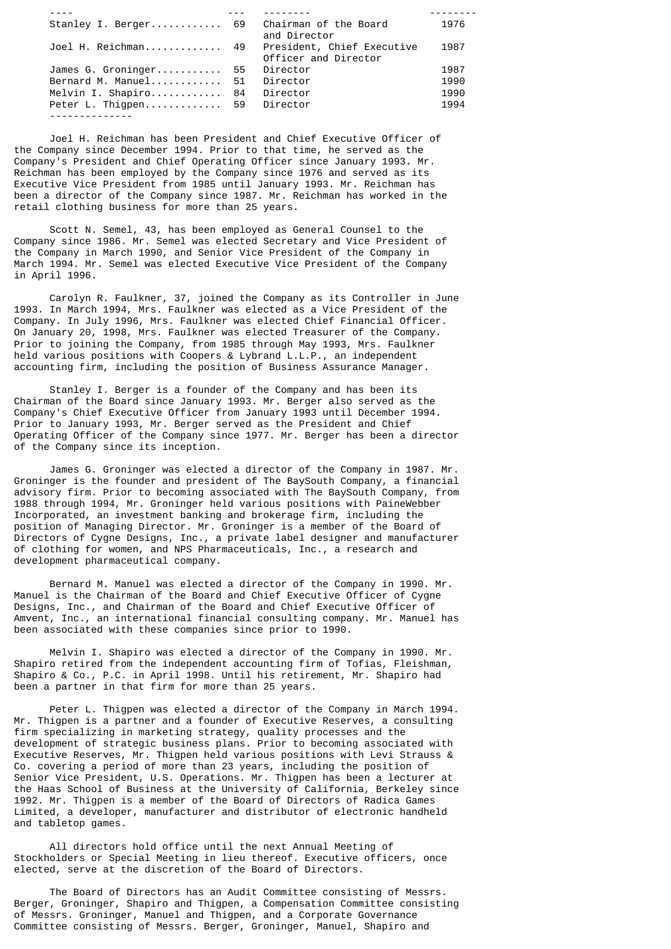| Stanley I. Berger 69                              | Chairman of the Board<br>and Director | 1976 |
|---------------------------------------------------|---------------------------------------|------|
| Joel H. Reichman 49    President, Chief Executive | Officer and Director                  | 1987 |
| James G. Groninger 55                             | Director                              | 1987 |
| Bernard M. Manuel 51                              | Director                              | 1990 |
| Melvin I. Shapiro 84                              | Director                              | 1990 |
| Peter L. Thigpen 59 Director                      |                                       | 1994 |
|                                                   |                                       |      |

 Joel H. Reichman has been President and Chief Executive Officer of the Company since December 1994. Prior to that time, he served as the Company's President and Chief Operating Officer since January 1993. Mr. Reichman has been employed by the Company since 1976 and served as its Executive Vice President from 1985 until January 1993. Mr. Reichman has been a director of the Company since 1987. Mr. Reichman has worked in the retail clothing business for more than 25 years.

 Scott N. Semel, 43, has been employed as General Counsel to the Company since 1986. Mr. Semel was elected Secretary and Vice President of the Company in March 1990, and Senior Vice President of the Company in March 1994. Mr. Semel was elected Executive Vice President of the Company in April 1996.

 Carolyn R. Faulkner, 37, joined the Company as its Controller in June 1993. In March 1994, Mrs. Faulkner was elected as a Vice President of the Company. In July 1996, Mrs. Faulkner was elected Chief Financial Officer. On January 20, 1998, Mrs. Faulkner was elected Treasurer of the Company. Prior to joining the Company, from 1985 through May 1993, Mrs. Faulkner held various positions with Coopers & Lybrand L.L.P., an independent accounting firm, including the position of Business Assurance Manager.

 Stanley I. Berger is a founder of the Company and has been its Chairman of the Board since January 1993. Mr. Berger also served as the Company's Chief Executive Officer from January 1993 until December 1994. Prior to January 1993, Mr. Berger served as the President and Chief Operating Officer of the Company since 1977. Mr. Berger has been a director of the Company since its inception.

 James G. Groninger was elected a director of the Company in 1987. Mr. Groninger is the founder and president of The BaySouth Company, a financial advisory firm. Prior to becoming associated with The BaySouth Company, from 1988 through 1994, Mr. Groninger held various positions with PaineWebber Incorporated, an investment banking and brokerage firm, including the position of Managing Director. Mr. Groninger is a member of the Board of Directors of Cygne Designs, Inc., a private label designer and manufacturer of clothing for women, and NPS Pharmaceuticals, Inc., a research and development pharmaceutical company.

 Bernard M. Manuel was elected a director of the Company in 1990. Mr. Manuel is the Chairman of the Board and Chief Executive Officer of Cygne Designs, Inc., and Chairman of the Board and Chief Executive Officer of Amvent, Inc., an international financial consulting company. Mr. Manuel has been associated with these companies since prior to 1990.

 Melvin I. Shapiro was elected a director of the Company in 1990. Mr. Shapiro retired from the independent accounting firm of Tofias, Fleishman, Shapiro & Co., P.C. in April 1998. Until his retirement, Mr. Shapiro had been a partner in that firm for more than 25 years.

 Peter L. Thigpen was elected a director of the Company in March 1994. Mr. Thigpen is a partner and a founder of Executive Reserves, a consulting firm specializing in marketing strategy, quality processes and the development of strategic business plans. Prior to becoming associated with Executive Reserves, Mr. Thigpen held various positions with Levi Strauss & Co. covering a period of more than 23 years, including the position of Senior Vice President, U.S. Operations. Mr. Thigpen has been a lecturer at the Haas School of Business at the University of California, Berkeley since 1992. Mr. Thigpen is a member of the Board of Directors of Radica Games Limited, a developer, manufacturer and distributor of electronic handheld and tabletop games.

 All directors hold office until the next Annual Meeting of Stockholders or Special Meeting in lieu thereof. Executive officers, once elected, serve at the discretion of the Board of Directors.

 The Board of Directors has an Audit Committee consisting of Messrs. Berger, Groninger, Shapiro and Thigpen, a Compensation Committee consisting of Messrs. Groninger, Manuel and Thigpen, and a Corporate Governance Committee consisting of Messrs. Berger, Groninger, Manuel, Shapiro and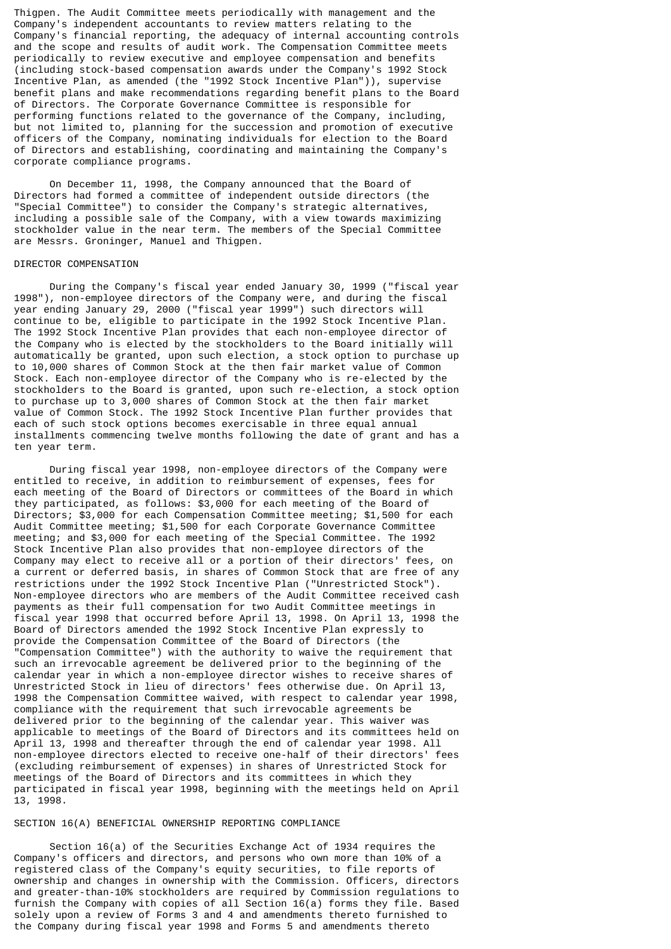Thigpen. The Audit Committee meets periodically with management and the Company's independent accountants to review matters relating to the Company's financial reporting, the adequacy of internal accounting controls and the scope and results of audit work. The Compensation Committee meets periodically to review executive and employee compensation and benefits (including stock-based compensation awards under the Company's 1992 Stock Incentive Plan, as amended (the "1992 Stock Incentive Plan")), supervise benefit plans and make recommendations regarding benefit plans to the Board of Directors. The Corporate Governance Committee is responsible for performing functions related to the governance of the Company, including, but not limited to, planning for the succession and promotion of executive officers of the Company, nominating individuals for election to the Board of Directors and establishing, coordinating and maintaining the Company's corporate compliance programs.

 On December 11, 1998, the Company announced that the Board of Directors had formed a committee of independent outside directors (the "Special Committee") to consider the Company's strategic alternatives, including a possible sale of the Company, with a view towards maximizing stockholder value in the near term. The members of the Special Committee are Messrs. Groninger, Manuel and Thigpen.

#### DIRECTOR COMPENSATION

 During the Company's fiscal year ended January 30, 1999 ("fiscal year 1998"), non-employee directors of the Company were, and during the fiscal year ending January 29, 2000 ("fiscal year 1999") such directors will continue to be, eligible to participate in the 1992 Stock Incentive Plan. The 1992 Stock Incentive Plan provides that each non-employee director of the Company who is elected by the stockholders to the Board initially will automatically be granted, upon such election, a stock option to purchase up to 10,000 shares of Common Stock at the then fair market value of Common Stock. Each non-employee director of the Company who is re-elected by the stockholders to the Board is granted, upon such re-election, a stock option to purchase up to 3,000 shares of Common Stock at the then fair market value of Common Stock. The 1992 Stock Incentive Plan further provides that each of such stock options becomes exercisable in three equal annual installments commencing twelve months following the date of grant and has a ten year term.

 During fiscal year 1998, non-employee directors of the Company were entitled to receive, in addition to reimbursement of expenses, fees for each meeting of the Board of Directors or committees of the Board in which they participated, as follows: \$3,000 for each meeting of the Board of Directors; \$3,000 for each Compensation Committee meeting; \$1,500 for each Audit Committee meeting; \$1,500 for each Corporate Governance Committee meeting; and \$3,000 for each meeting of the Special Committee. The 1992 Stock Incentive Plan also provides that non-employee directors of the Company may elect to receive all or a portion of their directors' fees, on a current or deferred basis, in shares of Common Stock that are free of any restrictions under the 1992 Stock Incentive Plan ("Unrestricted Stock"). Non-employee directors who are members of the Audit Committee received cash payments as their full compensation for two Audit Committee meetings in fiscal year 1998 that occurred before April 13, 1998. On April 13, 1998 the Board of Directors amended the 1992 Stock Incentive Plan expressly to provide the Compensation Committee of the Board of Directors (the "Compensation Committee") with the authority to waive the requirement that such an irrevocable agreement be delivered prior to the beginning of the calendar year in which a non-employee director wishes to receive shares of Unrestricted Stock in lieu of directors' fees otherwise due. On April 13, 1998 the Compensation Committee waived, with respect to calendar year 1998, compliance with the requirement that such irrevocable agreements be delivered prior to the beginning of the calendar year. This waiver was applicable to meetings of the Board of Directors and its committees held on April 13, 1998 and thereafter through the end of calendar year 1998. All non-employee directors elected to receive one-half of their directors' fees (excluding reimbursement of expenses) in shares of Unrestricted Stock for meetings of the Board of Directors and its committees in which they participated in fiscal year 1998, beginning with the meetings held on April 13, 1998.

#### SECTION 16(A) BENEFICIAL OWNERSHIP REPORTING COMPLIANCE

 Section 16(a) of the Securities Exchange Act of 1934 requires the Company's officers and directors, and persons who own more than 10% of a registered class of the Company's equity securities, to file reports of ownership and changes in ownership with the Commission. Officers, directors and greater-than-10% stockholders are required by Commission regulations to furnish the Company with copies of all Section 16(a) forms they file. Based solely upon a review of Forms 3 and 4 and amendments thereto furnished to the Company during fiscal year 1998 and Forms 5 and amendments thereto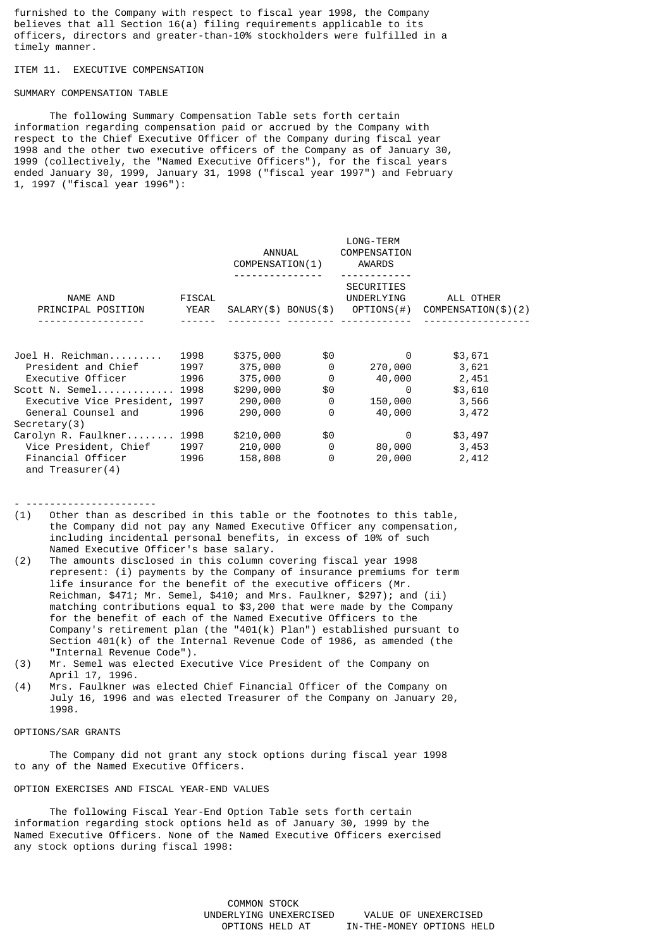furnished to the Company with respect to fiscal year 1998, the Company believes that all Section 16(a) filing requirements applicable to its officers, directors and greater-than-10% stockholders were fulfilled in a timely manner.

# ITEM 11. EXECUTIVE COMPENSATION

## SUMMARY COMPENSATION TABLE

 The following Summary Compensation Table sets forth certain information regarding compensation paid or accrued by the Company with respect to the Chief Executive Officer of the Company during fiscal year 1998 and the other two executive officers of the Company as of January 30, 1999 (collectively, the "Named Executive Officers"), for the fiscal years ended January 30, 1999, January 31, 1998 ("fiscal year 1997") and February 1, 1997 ("fiscal year 1996"):

|                                        |                | ANNUAL<br>COMPENSATION(1) |     | LONG-TERM<br>COMPENSATION<br><b>AWARDS</b>    |                                  |  |
|----------------------------------------|----------------|---------------------------|-----|-----------------------------------------------|----------------------------------|--|
| NAME AND<br>PRINCIPAL POSITION         | FISCAL<br>YEAR | SALARY(\$) BONUS(\$)      |     | <b>SECURITIES</b><br>UNDERLYING<br>OPTIONS(#) | ALL OTHER<br>COMPENSATION(\$)(2) |  |
|                                        |                |                           |     |                                               |                                  |  |
| Joel H. Reichman                       | 1998           | \$375,000                 | \$0 | 0                                             | \$3,671                          |  |
| President and Chief                    | 1997           | 375,000                   | 0   | 270,000                                       | 3,621                            |  |
| Executive Officer                      | 1996           | 375,000                   | 0   | 40,000                                        | 2,451                            |  |
| Scott N. Semel                         | 1998           | \$290,000                 | \$0 | 0                                             | \$3,610                          |  |
| Executive Vice President,              | 1997           | 290,000                   | 0   | 150,000                                       | 3,566                            |  |
| General Counsel and                    | 1996           | 290,000                   | 0   | 40,000                                        | 3,472                            |  |
| Sercretary(3)                          |                |                           |     |                                               |                                  |  |
| Carolyn R. Faulkner                    | 1998           | \$210,000                 | \$0 | 0                                             | \$3,497                          |  |
| Vice President, Chief                  | 1997           | 210,000                   | 0   | 80,000                                        | 3,453                            |  |
| Financial Officer<br>and $Treasure(4)$ | 1996           | 158,808                   | 0   | 20,000                                        | 2,412                            |  |

#### - ----------------------

- (1) Other than as described in this table or the footnotes to this table, the Company did not pay any Named Executive Officer any compensation, including incidental personal benefits, in excess of 10% of such Named Executive Officer's base salary.<br>(2) The amounts disclosed in this column c
- The amounts disclosed in this column covering fiscal year 1998 represent: (i) payments by the Company of insurance premiums for term life insurance for the benefit of the executive officers (Mr. Reichman, \$471; Mr. Semel, \$410; and Mrs. Faulkner, \$297); and (ii) matching contributions equal to \$3,200 that were made by the Company for the benefit of each of the Named Executive Officers to the Company's retirement plan (the "401(k) Plan") established pursuant to Section 401(k) of the Internal Revenue Code of 1986, as amended (the "Internal Revenue Code").
- (3) Mr. Semel was elected Executive Vice President of the Company on April 17, 1996.
- (4) Mrs. Faulkner was elected Chief Financial Officer of the Company on July 16, 1996 and was elected Treasurer of the Company on January 20, 1998.

### OPTIONS/SAR GRANTS

 The Company did not grant any stock options during fiscal year 1998 to any of the Named Executive Officers.

### OPTION EXERCISES AND FISCAL YEAR-END VALUES

 The following Fiscal Year-End Option Table sets forth certain information regarding stock options held as of January 30, 1999 by the Named Executive Officers. None of the Named Executive Officers exercised any stock options during fiscal 1998: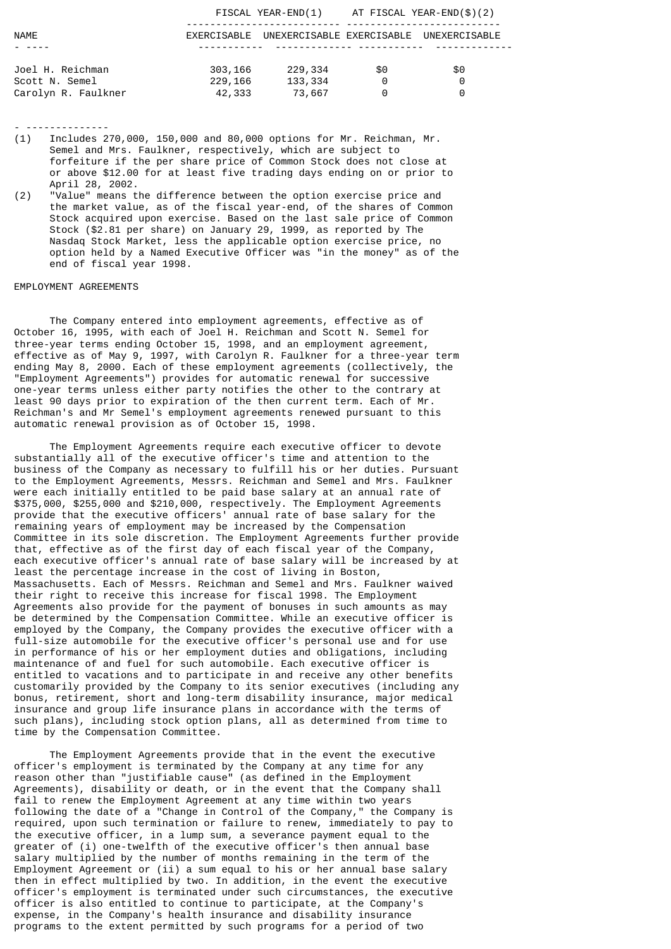|                     |         | FISCAL YEAR-END(1) AT FISCAL YEAR-END(\$)(2)        |     |     |
|---------------------|---------|-----------------------------------------------------|-----|-----|
| NAME                |         | EXERCISABLE UNEXERCISABLE EXERCISABLE UNEXERCISABLE |     |     |
|                     |         |                                                     |     |     |
| Joel H. Reichman    | 303,166 | 229,334                                             | \$0 | \$0 |
| Scott N. Semel      | 229,166 | 133,334                                             | 0   | 0   |
| Carolyn R. Faulkner | 42,333  | 73,667                                              | 0   | 0   |

- --------------

- (1) Includes 270,000, 150,000 and 80,000 options for Mr. Reichman, Mr. Semel and Mrs. Faulkner, respectively, which are subject to forfeiture if the per share price of Common Stock does not close at or above \$12.00 for at least five trading days ending on or prior to April 28, 2002.<br>(2) "Value" means t
- "Value" means the difference between the option exercise price and the market value, as of the fiscal year-end, of the shares of Common Stock acquired upon exercise. Based on the last sale price of Common Stock (\$2.81 per share) on January 29, 1999, as reported by The Nasdaq Stock Market, less the applicable option exercise price, no option held by a Named Executive Officer was "in the money" as of the end of fiscal year 1998.

#### EMPLOYMENT AGREEMENTS

 The Company entered into employment agreements, effective as of October 16, 1995, with each of Joel H. Reichman and Scott N. Semel for three-year terms ending October 15, 1998, and an employment agreement, effective as of May 9, 1997, with Carolyn R. Faulkner for a three-year term ending May 8, 2000. Each of these employment agreements (collectively, the "Employment Agreements") provides for automatic renewal for successive one-year terms unless either party notifies the other to the contrary at least 90 days prior to expiration of the then current term. Each of Mr. Reichman's and Mr Semel's employment agreements renewed pursuant to this automatic renewal provision as of October 15, 1998.

 The Employment Agreements require each executive officer to devote substantially all of the executive officer's time and attention to the business of the Company as necessary to fulfill his or her duties. Pursuant to the Employment Agreements, Messrs. Reichman and Semel and Mrs. Faulkner were each initially entitled to be paid base salary at an annual rate of \$375,000, \$255,000 and \$210,000, respectively. The Employment Agreements provide that the executive officers' annual rate of base salary for the remaining years of employment may be increased by the Compensation Committee in its sole discretion. The Employment Agreements further provide that, effective as of the first day of each fiscal year of the Company, each executive officer's annual rate of base salary will be increased by at least the percentage increase in the cost of living in Boston, Massachusetts. Each of Messrs. Reichman and Semel and Mrs. Faulkner waived their right to receive this increase for fiscal 1998. The Employment Agreements also provide for the payment of bonuses in such amounts as may be determined by the Compensation Committee. While an executive officer is employed by the Company, the Company provides the executive officer with a full-size automobile for the executive officer's personal use and for use in performance of his or her employment duties and obligations, including maintenance of and fuel for such automobile. Each executive officer is entitled to vacations and to participate in and receive any other benefits customarily provided by the Company to its senior executives (including any bonus, retirement, short and long-term disability insurance, major medical insurance and group life insurance plans in accordance with the terms of such plans), including stock option plans, all as determined from time to time by the Compensation Committee.

 The Employment Agreements provide that in the event the executive officer's employment is terminated by the Company at any time for any reason other than "justifiable cause" (as defined in the Employment Agreements), disability or death, or in the event that the Company shall fail to renew the Employment Agreement at any time within two years following the date of a "Change in Control of the Company," the Company is required, upon such termination or failure to renew, immediately to pay to the executive officer, in a lump sum, a severance payment equal to the greater of (i) one-twelfth of the executive officer's then annual base salary multiplied by the number of months remaining in the term of the Employment Agreement or (ii) a sum equal to his or her annual base salary then in effect multiplied by two. In addition, in the event the executive officer's employment is terminated under such circumstances, the executive officer is also entitled to continue to participate, at the Company's expense, in the Company's health insurance and disability insurance programs to the extent permitted by such programs for a period of two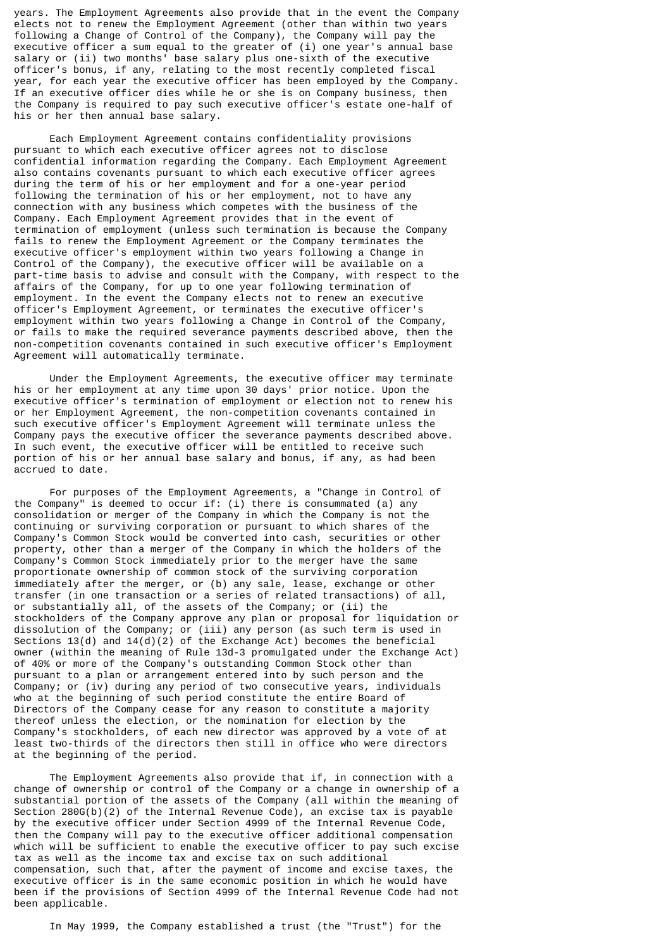years. The Employment Agreements also provide that in the event the Company elects not to renew the Employment Agreement (other than within two years following a Change of Control of the Company), the Company will pay the executive officer a sum equal to the greater of (i) one year's annual base salary or (ii) two months' base salary plus one-sixth of the executive officer's bonus, if any, relating to the most recently completed fiscal year, for each year the executive officer has been employed by the Company. If an executive officer dies while he or she is on Company business, then the Company is required to pay such executive officer's estate one-half of his or her then annual base salary.

 Each Employment Agreement contains confidentiality provisions pursuant to which each executive officer agrees not to disclose confidential information regarding the Company. Each Employment Agreement also contains covenants pursuant to which each executive officer agrees during the term of his or her employment and for a one-year period following the termination of his or her employment, not to have any connection with any business which competes with the business of the Company. Each Employment Agreement provides that in the event of termination of employment (unless such termination is because the Company fails to renew the Employment Agreement or the Company terminates the executive officer's employment within two years following a Change in Control of the Company), the executive officer will be available on a part-time basis to advise and consult with the Company, with respect to the affairs of the Company, for up to one year following termination of employment. In the event the Company elects not to renew an executive officer's Employment Agreement, or terminates the executive officer's employment within two years following a Change in Control of the Company, or fails to make the required severance payments described above, then the non-competition covenants contained in such executive officer's Employment Agreement will automatically terminate.

 Under the Employment Agreements, the executive officer may terminate his or her employment at any time upon 30 days' prior notice. Upon the executive officer's termination of employment or election not to renew his or her Employment Agreement, the non-competition covenants contained in such executive officer's Employment Agreement will terminate unless the Company pays the executive officer the severance payments described above. In such event, the executive officer will be entitled to receive such portion of his or her annual base salary and bonus, if any, as had been accrued to date.

 For purposes of the Employment Agreements, a "Change in Control of the Company" is deemed to occur if:  $(i)$  there is consummated  $(a)$  any consolidation or merger of the Company in which the Company is not the continuing or surviving corporation or pursuant to which shares of the Company's Common Stock would be converted into cash, securities or other property, other than a merger of the Company in which the holders of the Company's Common Stock immediately prior to the merger have the same proportionate ownership of common stock of the surviving corporation immediately after the merger, or (b) any sale, lease, exchange or other transfer (in one transaction or a series of related transactions) of all, or substantially all, of the assets of the Company; or (ii) the stockholders of the Company approve any plan or proposal for liquidation or dissolution of the Company; or (iii) any person (as such term is used in Sections 13(d) and  $14(\alpha)(2)$  of the Exchange Act) becomes the beneficial owner (within the meaning of Rule 13d-3 promulgated under the Exchange Act) of 40% or more of the Company's outstanding Common Stock other than pursuant to a plan or arrangement entered into by such person and the Company; or (iv) during any period of two consecutive years, individuals who at the beginning of such period constitute the entire Board of Directors of the Company cease for any reason to constitute a majority thereof unless the election, or the nomination for election by the Company's stockholders, of each new director was approved by a vote of at least two-thirds of the directors then still in office who were directors at the beginning of the period.

 The Employment Agreements also provide that if, in connection with a change of ownership or control of the Company or a change in ownership of a substantial portion of the assets of the Company (all within the meaning of Section 280G(b)(2) of the Internal Revenue Code), an excise tax is payable by the executive officer under Section 4999 of the Internal Revenue Code, then the Company will pay to the executive officer additional compensation which will be sufficient to enable the executive officer to pay such excise tax as well as the income tax and excise tax on such additional compensation, such that, after the payment of income and excise taxes, the executive officer is in the same economic position in which he would have been if the provisions of Section 4999 of the Internal Revenue Code had not been applicable.

In May 1999, the Company established a trust (the "Trust") for the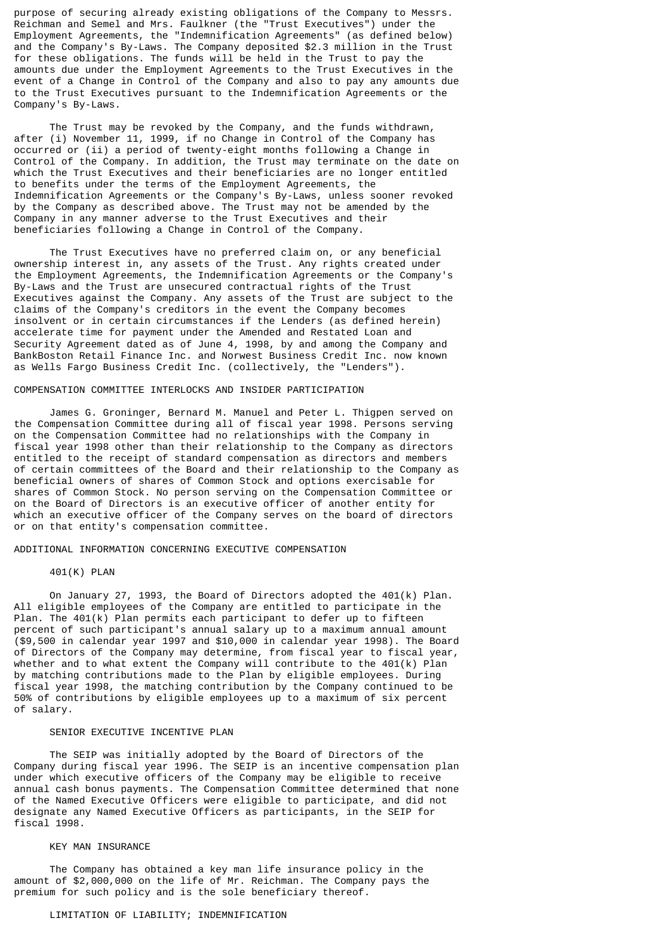purpose of securing already existing obligations of the Company to Messrs. Reichman and Semel and Mrs. Faulkner (the "Trust Executives") under the Employment Agreements, the "Indemnification Agreements" (as defined below) and the Company's By-Laws. The Company deposited \$2.3 million in the Trust for these obligations. The funds will be held in the Trust to pay the amounts due under the Employment Agreements to the Trust Executives in the event of a Change in Control of the Company and also to pay any amounts due to the Trust Executives pursuant to the Indemnification Agreements or the Company's By-Laws.

 The Trust may be revoked by the Company, and the funds withdrawn, after (i) November 11, 1999, if no Change in Control of the Company has occurred or (ii) a period of twenty-eight months following a Change in Control of the Company. In addition, the Trust may terminate on the date on which the Trust Executives and their beneficiaries are no longer entitled to benefits under the terms of the Employment Agreements, the Indemnification Agreements or the Company's By-Laws, unless sooner revoked by the Company as described above. The Trust may not be amended by the Company in any manner adverse to the Trust Executives and their beneficiaries following a Change in Control of the Company.

 The Trust Executives have no preferred claim on, or any beneficial ownership interest in, any assets of the Trust. Any rights created under the Employment Agreements, the Indemnification Agreements or the Company's By-Laws and the Trust are unsecured contractual rights of the Trust Executives against the Company. Any assets of the Trust are subject to the claims of the Company's creditors in the event the Company becomes insolvent or in certain circumstances if the Lenders (as defined herein) accelerate time for payment under the Amended and Restated Loan and Security Agreement dated as of June 4, 1998, by and among the Company and BankBoston Retail Finance Inc. and Norwest Business Credit Inc. now known as Wells Fargo Business Credit Inc. (collectively, the "Lenders").

# COMPENSATION COMMITTEE INTERLOCKS AND INSIDER PARTICIPATION

 James G. Groninger, Bernard M. Manuel and Peter L. Thigpen served on the Compensation Committee during all of fiscal year 1998. Persons serving on the Compensation Committee had no relationships with the Company in fiscal year 1998 other than their relationship to the Company as directors entitled to the receipt of standard compensation as directors and members of certain committees of the Board and their relationship to the Company as beneficial owners of shares of Common Stock and options exercisable for shares of Common Stock. No person serving on the Compensation Committee or on the Board of Directors is an executive officer of another entity for which an executive officer of the Company serves on the board of directors or on that entity's compensation committee.

## ADDITIONAL INFORMATION CONCERNING EXECUTIVE COMPENSATION

## 401(K) PLAN

 On January 27, 1993, the Board of Directors adopted the 401(k) Plan. All eligible employees of the Company are entitled to participate in the Plan. The 401(k) Plan permits each participant to defer up to fifteen percent of such participant's annual salary up to a maximum annual amount (\$9,500 in calendar year 1997 and \$10,000 in calendar year 1998). The Board of Directors of the Company may determine, from fiscal year to fiscal year, whether and to what extent the Company will contribute to the 401(k) Plan by matching contributions made to the Plan by eligible employees. During fiscal year 1998, the matching contribution by the Company continued to be 50% of contributions by eligible employees up to a maximum of six percent of salary.

#### SENIOR EXECUTIVE INCENTIVE PLAN

 The SEIP was initially adopted by the Board of Directors of the Company during fiscal year 1996. The SEIP is an incentive compensation plan under which executive officers of the Company may be eligible to receive annual cash bonus payments. The Compensation Committee determined that none of the Named Executive Officers were eligible to participate, and did not designate any Named Executive Officers as participants, in the SEIP for fiscal 1998.

#### KEY MAN INSURANCE

 The Company has obtained a key man life insurance policy in the amount of \$2,000,000 on the life of Mr. Reichman. The Company pays the premium for such policy and is the sole beneficiary thereof.

#### LIMITATION OF LIABILITY; INDEMNIFICATION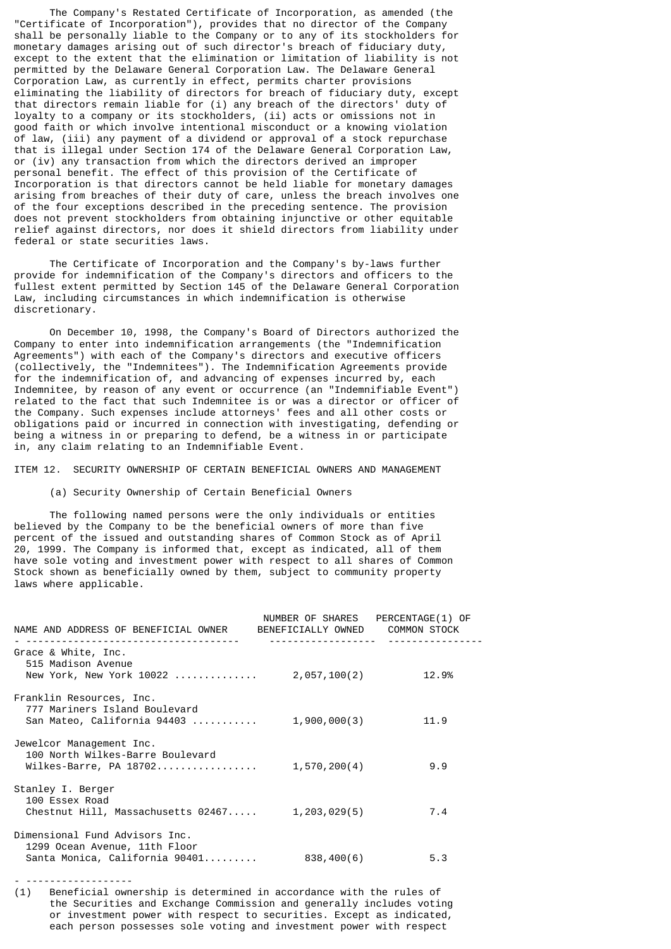The Company's Restated Certificate of Incorporation, as amended (the "Certificate of Incorporation"), provides that no director of the Company shall be personally liable to the Company or to any of its stockholders for monetary damages arising out of such director's breach of fiduciary duty, except to the extent that the elimination or limitation of liability is not permitted by the Delaware General Corporation Law. The Delaware General Corporation Law, as currently in effect, permits charter provisions eliminating the liability of directors for breach of fiduciary duty, except that directors remain liable for (i) any breach of the directors' duty of loyalty to a company or its stockholders, (ii) acts or omissions not in good faith or which involve intentional misconduct or a knowing violation of law, (iii) any payment of a dividend or approval of a stock repurchase that is illegal under Section 174 of the Delaware General Corporation Law, or (iv) any transaction from which the directors derived an improper personal benefit. The effect of this provision of the Certificate of Incorporation is that directors cannot be held liable for monetary damages arising from breaches of their duty of care, unless the breach involves one of the four exceptions described in the preceding sentence. The provision does not prevent stockholders from obtaining injunctive or other equitable relief against directors, nor does it shield directors from liability under federal or state securities laws.

 The Certificate of Incorporation and the Company's by-laws further provide for indemnification of the Company's directors and officers to the fullest extent permitted by Section 145 of the Delaware General Corporation Law, including circumstances in which indemnification is otherwise discretionary.

 On December 10, 1998, the Company's Board of Directors authorized the Company to enter into indemnification arrangements (the "Indemnification Agreements") with each of the Company's directors and executive officers (collectively, the "Indemnitees"). The Indemnification Agreements provide for the indemnification of, and advancing of expenses incurred by, each Indemnitee, by reason of any event or occurrence (an "Indemnifiable Event") related to the fact that such Indemnitee is or was a director or officer of the Company. Such expenses include attorneys' fees and all other costs or obligations paid or incurred in connection with investigating, defending or being a witness in or preparing to defend, be a witness in or participate in, any claim relating to an Indemnifiable Event.

ITEM 12. SECURITY OWNERSHIP OF CERTAIN BENEFICIAL OWNERS AND MANAGEMENT

(a) Security Ownership of Certain Beneficial Owners

 The following named persons were the only individuals or entities believed by the Company to be the beneficial owners of more than five percent of the issued and outstanding shares of Common Stock as of April 20, 1999. The Company is informed that, except as indicated, all of them have sole voting and investment power with respect to all shares of Common Stock shown as beneficially owned by them, subject to community property laws where applicable.

| NAME AND ADDRESS OF BENEFICIAL OWNER BENEFICIALLY OWNED                                           | NUMBER OF SHARES PERCENTAGE(1) OF | <b>COMMON STOCK</b> |
|---------------------------------------------------------------------------------------------------|-----------------------------------|---------------------|
| Grace & White, Inc.<br>515 Madison Avenue<br>New York, New York 10022                             | 2,057,100(2)                      | 12.9%               |
| Franklin Resources, Inc.<br>777 Mariners Island Boulevard<br>San Mateo, California 94403          | 1,900,000(3)                      | 11.9                |
| Jewelcor Management Inc.<br>100 North Wilkes-Barre Boulevard                                      | 1,570,200(4)                      | 9.9                 |
| Stanley I. Berger<br>100 Essex Road<br>Chestnut Hill, Massachusetts 02467                         | 1,203,029(5)                      | 7.4                 |
| Dimensional Fund Advisors Inc.<br>1299 Ocean Avenue, 11th Floor<br>Santa Monica, California 90401 | 838,400(6)                        | 5.3                 |

- ------------------ (1) Beneficial ownership is determined in accordance with the rules of the Securities and Exchange Commission and generally includes voting or investment power with respect to securities. Except as indicated, each person possesses sole voting and investment power with respect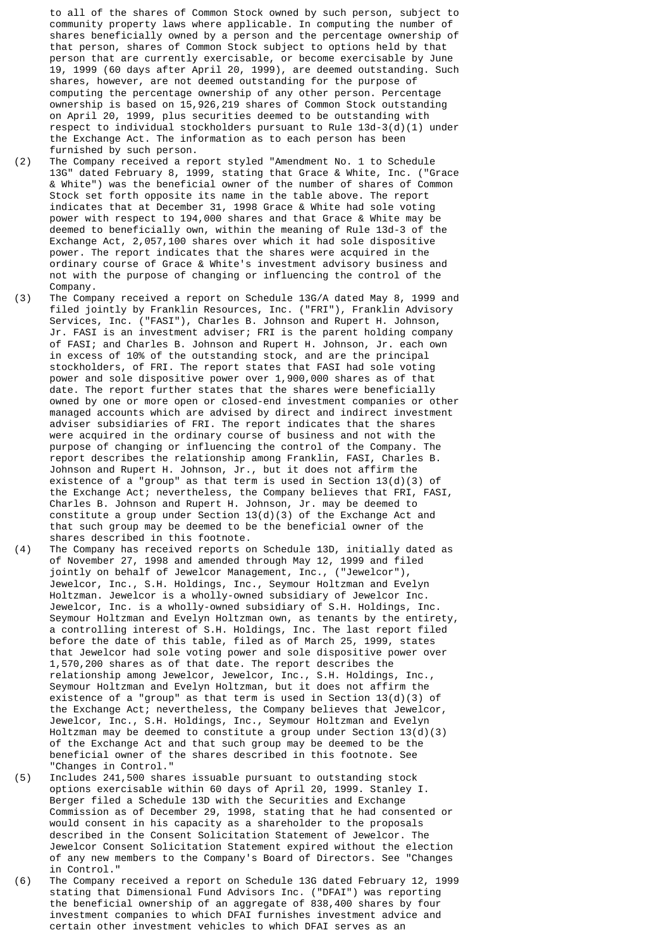to all of the shares of Common Stock owned by such person, subject to community property laws where applicable. In computing the number of shares beneficially owned by a person and the percentage ownership of that person, shares of Common Stock subject to options held by that person that are currently exercisable, or become exercisable by June 19, 1999 (60 days after April 20, 1999), are deemed outstanding. Such shares, however, are not deemed outstanding for the purpose of computing the percentage ownership of any other person. Percentage ownership is based on 15,926,219 shares of Common Stock outstanding on April 20, 1999, plus securities deemed to be outstanding with respect to individual stockholders pursuant to Rule 13d-3(d)(1) under the Exchange Act. The information as to each person has been furnished by such person.

- (2) The Company received a report styled "Amendment No. 1 to Schedule 13G" dated February 8, 1999, stating that Grace & White, Inc. ("Grace & White") was the beneficial owner of the number of shares of Common Stock set forth opposite its name in the table above. The report indicates that at December 31, 1998 Grace & White had sole voting power with respect to 194,000 shares and that Grace & White may be deemed to beneficially own, within the meaning of Rule 13d-3 of the Exchange Act, 2,057,100 shares over which it had sole dispositive power. The report indicates that the shares were acquired in the ordinary course of Grace & White's investment advisory business and not with the purpose of changing or influencing the control of the Company.
- (3) The Company received a report on Schedule 13G/A dated May 8, 1999 and filed jointly by Franklin Resources, Inc. ("FRI"), Franklin Advisory Services, Inc. ("FASI"), Charles B. Johnson and Rupert H. Johnson, Jr. FASI is an investment adviser; FRI is the parent holding company of FASI; and Charles B. Johnson and Rupert H. Johnson, Jr. each own in excess of 10% of the outstanding stock, and are the principal stockholders, of FRI. The report states that FASI had sole voting power and sole dispositive power over 1,900,000 shares as of that date. The report further states that the shares were beneficially owned by one or more open or closed-end investment companies or other managed accounts which are advised by direct and indirect investment adviser subsidiaries of FRI. The report indicates that the shares were acquired in the ordinary course of business and not with the purpose of changing or influencing the control of the Company. The report describes the relationship among Franklin, FASI, Charles B. Johnson and Rupert H. Johnson, Jr., but it does not affirm the existence of a "group" as that term is used in Section 13(d)(3) of the Exchange Act; nevertheless, the Company believes that FRI, FASI, Charles B. Johnson and Rupert H. Johnson, Jr. may be deemed to constitute a group under Section  $13(d)(3)$  of the Exchange Act and that such group may be deemed to be the beneficial owner of the shares described in this footnote.<br>(4) The Company has received reports o
- The Company has received reports on Schedule 13D, initially dated as of November 27, 1998 and amended through May 12, 1999 and filed jointly on behalf of Jewelcor Management, Inc., ("Jewelcor"), Jewelcor, Inc., S.H. Holdings, Inc., Seymour Holtzman and Evelyn Holtzman. Jewelcor is a wholly-owned subsidiary of Jewelcor Inc. Jewelcor, Inc. is a wholly-owned subsidiary of S.H. Holdings, Inc. Seymour Holtzman and Evelyn Holtzman own, as tenants by the entirety, a controlling interest of S.H. Holdings, Inc. The last report filed before the date of this table, filed as of March 25, 1999, states that Jewelcor had sole voting power and sole dispositive power over 1,570,200 shares as of that date. The report describes the relationship among Jewelcor, Jewelcor, Inc., S.H. Holdings, Inc., Seymour Holtzman and Evelyn Holtzman, but it does not affirm the existence of a "group" as that term is used in Section 13(d)(3) of the Exchange Act; nevertheless, the Company believes that Jewelcor, Jewelcor, Inc., S.H. Holdings, Inc., Seymour Holtzman and Evelyn Holtzman may be deemed to constitute a group under Section  $13(d)(3)$  of the Exchange Act and that such group may be deemed to be the beneficial owner of the shares described in this footnote. See "Changes in Control."<br>Includes 241,500 shar
- Includes 241,500 shares issuable pursuant to outstanding stock options exercisable within 60 days of April 20, 1999. Stanley I. Berger filed a Schedule 13D with the Securities and Exchange Commission as of December 29, 1998, stating that he had consented or would consent in his capacity as a shareholder to the proposals described in the Consent Solicitation Statement of Jewelcor. The Jewelcor Consent Solicitation Statement expired without the election of any new members to the Company's Board of Directors. See "Changes in Control."<br>(6) The Company
- The Company received a report on Schedule 13G dated February 12, 1999 stating that Dimensional Fund Advisors Inc. ("DFAI") was reporting the beneficial ownership of an aggregate of 838,400 shares by four investment companies to which DFAI furnishes investment advice and certain other investment vehicles to which DFAI serves as an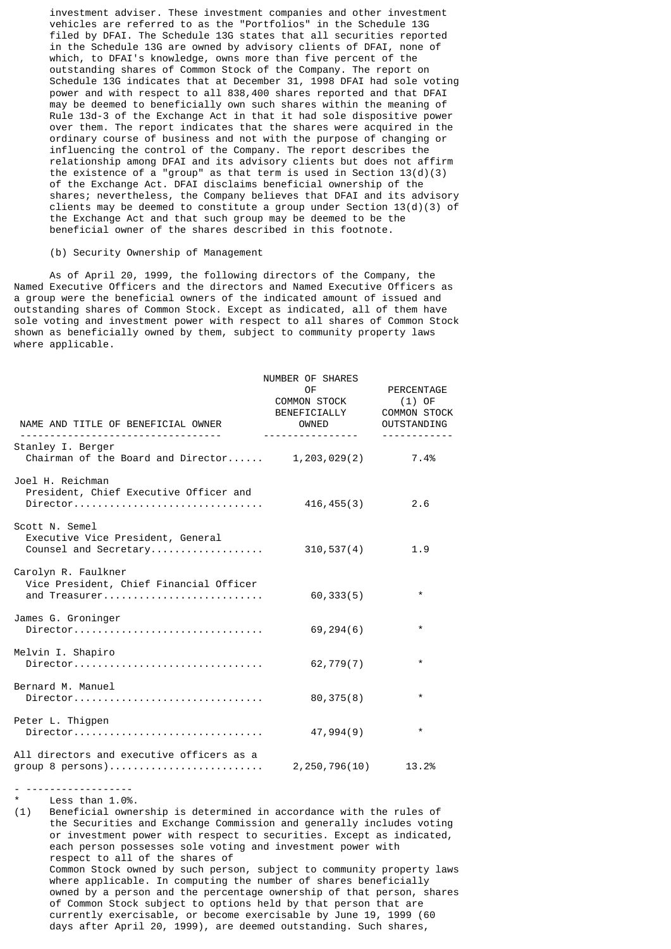investment adviser. These investment companies and other investment vehicles are referred to as the "Portfolios" in the Schedule 13G filed by DFAI. The Schedule 13G states that all securities reported in the Schedule 13G are owned by advisory clients of DFAI, none of which, to DFAI's knowledge, owns more than five percent of the outstanding shares of Common Stock of the Company. The report on Schedule 13G indicates that at December 31, 1998 DFAI had sole voting power and with respect to all 838,400 shares reported and that DFAI may be deemed to beneficially own such shares within the meaning of Rule 13d-3 of the Exchange Act in that it had sole dispositive power over them. The report indicates that the shares were acquired in the ordinary course of business and not with the purpose of changing or influencing the control of the Company. The report describes the relationship among DFAI and its advisory clients but does not affirm the existence of a "group" as that term is used in Section  $13(d)(3)$  of the Exchange Act. DFAI disclaims beneficial ownership of the shares; nevertheless, the Company believes that DFAI and its advisory clients may be deemed to constitute a group under Section 13(d)(3) of the Exchange Act and that such group may be deemed to be the beneficial owner of the shares described in this footnote.

(b) Security Ownership of Management

 As of April 20, 1999, the following directors of the Company, the Named Executive Officers and the directors and Named Executive Officers as a group were the beneficial owners of the indicated amount of issued and outstanding shares of Common Stock. Except as indicated, all of them have sole voting and investment power with respect to all shares of Common Stock shown as beneficially owned by them, subject to community property laws where applicable.

| NAME AND TITLE OF BENEFICIAL OWNER                                                                                                               | NUMBER OF SHARES<br>0F<br>COMMON STOCK<br>BENEFICIALLY COMMON STOCK<br>OWNED<br><u> - - - - - - - - - - - - - - - -</u> | PERCENTAGE<br>$(1)$ OF<br>OUTSTANDING<br><u> - - - - - - - - - - - -</u> |
|--------------------------------------------------------------------------------------------------------------------------------------------------|-------------------------------------------------------------------------------------------------------------------------|--------------------------------------------------------------------------|
| Stanley I. Berger<br>Chairman of the Board and Director $1,203,029(2)$ 7.4%                                                                      |                                                                                                                         |                                                                          |
| Joel H. Reichman<br>President, Chief Executive Officer and<br>$Director \dots \dots \dots \dots \dots \dots \dots \dots \dots \dots \dots \dots$ | 416,455(3)                                                                                                              | 2.6                                                                      |
| Scott N. Semel<br>Executive Vice President, General<br>Counsel and Secretary                                                                     | 310, 537(4)                                                                                                             | 1.9                                                                      |
| Carolyn R. Faulkner<br>Vice President, Chief Financial Officer<br>and Treasurer                                                                  | 60, 333(5)                                                                                                              | $^\star$                                                                 |
| James G. Groninger<br>Director                                                                                                                   | 69, 294(6)                                                                                                              | $\star$                                                                  |
| Melvin I. Shapiro<br>Director                                                                                                                    | 62,779(7)                                                                                                               | $\star$                                                                  |
| Bernard M. Manuel                                                                                                                                | 80, 375(8)                                                                                                              | $\star$                                                                  |
| Peter L. Thigpen                                                                                                                                 | 47,994(9)                                                                                                               | $\star$                                                                  |
| All directors and executive officers as a                                                                                                        |                                                                                                                         |                                                                          |

- ------------------ Less than 1.0%

(1) Beneficial ownership is determined in accordance with the rules of the Securities and Exchange Commission and generally includes voting or investment power with respect to securities. Except as indicated, each person possesses sole voting and investment power with respect to all of the shares of Common Stock owned by such person, subject to community property laws where applicable. In computing the number of shares beneficially owned by a person and the percentage ownership of that person, shares of Common Stock subject to options held by that person that are currently exercisable, or become exercisable by June 19, 1999 (60 days after April 20, 1999), are deemed outstanding. Such shares,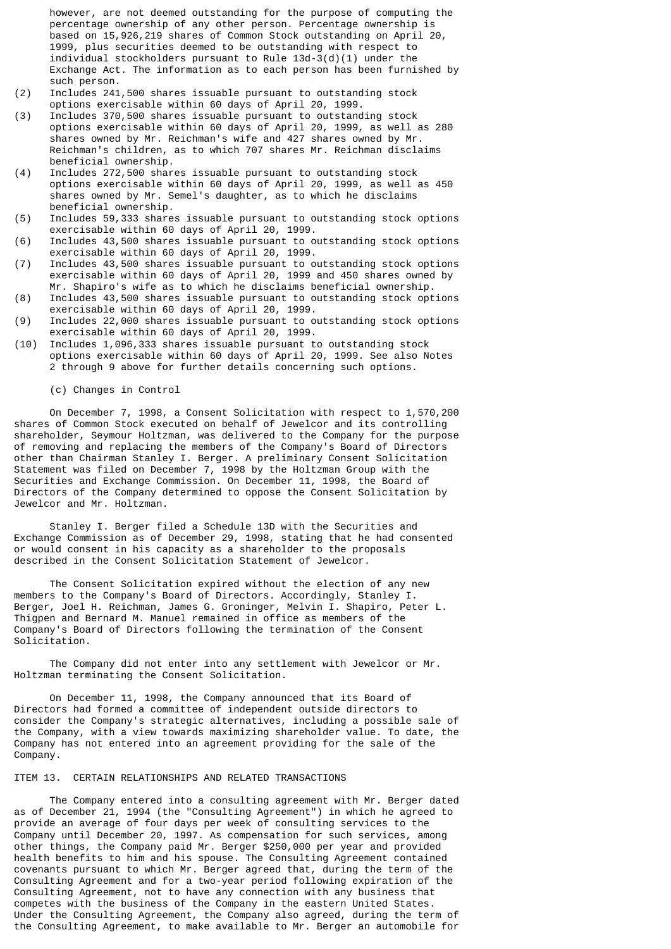however, are not deemed outstanding for the purpose of computing the percentage ownership of any other person. Percentage ownership is based on 15,926,219 shares of Common Stock outstanding on April 20, 1999, plus securities deemed to be outstanding with respect to individual stockholders pursuant to Rule 13d-3(d)(1) under the Exchange Act. The information as to each person has been furnished by

- such person.<br>(2) Includes 241 Includes 241,500 shares issuable pursuant to outstanding stock options exercisable within 60 days of April 20, 1999.<br>(3) Includes 370,500 shares issuable pursuant to outstand
- Includes 370,500 shares issuable pursuant to outstanding stock options exercisable within 60 days of April 20, 1999, as well as 280 shares owned by Mr. Reichman's wife and 427 shares owned by Mr. Reichman's children, as to which 707 shares Mr. Reichman disclaims beneficial ownership.<br>(4) Includes 272,500 shar
- Includes 272,500 shares issuable pursuant to outstanding stock options exercisable within 60 days of April 20, 1999, as well as 450 shares owned by Mr. Semel's daughter, as to which he disclaims beneficial ownership.<br>(5) Includes 59,333 share
- (5) Includes 59,333 shares issuable pursuant to outstanding stock options exercisable within 60 days of April 20, 1999.<br>(6) Includes 43,500 shares issuable pursuant to o
- (6) Includes 43,500 shares issuable pursuant to outstanding stock options exercisable within 60 days of April 20, 1999.<br>(7) Includes 43,500 shares issuable pursuant to o
- Includes 43,500 shares issuable pursuant to outstanding stock options exercisable within 60 days of April 20, 1999 and 450 shares owned by Mr. Shapiro's wife as to which he disclaims beneficial ownership.
- (8) Includes 43,500 shares issuable pursuant to outstanding stock options exercisable within 60 days of April 20, 1999.
- (9) Includes 22,000 shares issuable pursuant to outstanding stock options exercisable within 60 days of April 20, 1999.
- (10) Includes 1,096,333 shares issuable pursuant to outstanding stock options exercisable within 60 days of April 20, 1999. See also Notes 2 through 9 above for further details concerning such options.

(c) Changes in Control

 On December 7, 1998, a Consent Solicitation with respect to 1,570,200 shares of Common Stock executed on behalf of Jewelcor and its controlling shareholder, Seymour Holtzman, was delivered to the Company for the purpose of removing and replacing the members of the Company's Board of Directors other than Chairman Stanley I. Berger. A preliminary Consent Solicitation Statement was filed on December 7, 1998 by the Holtzman Group with the Securities and Exchange Commission. On December 11, 1998, the Board of Directors of the Company determined to oppose the Consent Solicitation by Jewelcor and Mr. Holtzman.

 Stanley I. Berger filed a Schedule 13D with the Securities and Exchange Commission as of December 29, 1998, stating that he had consented or would consent in his capacity as a shareholder to the proposals described in the Consent Solicitation Statement of Jewelcor.

 The Consent Solicitation expired without the election of any new members to the Company's Board of Directors. Accordingly, Stanley I. Berger, Joel H. Reichman, James G. Groninger, Melvin I. Shapiro, Peter L. Thigpen and Bernard M. Manuel remained in office as members of the Company's Board of Directors following the termination of the Consent Solicitation.

 The Company did not enter into any settlement with Jewelcor or Mr. Holtzman terminating the Consent Solicitation.

 On December 11, 1998, the Company announced that its Board of Directors had formed a committee of independent outside directors to consider the Company's strategic alternatives, including a possible sale of the Company, with a view towards maximizing shareholder value. To date, the Company has not entered into an agreement providing for the sale of the Company.

### ITEM 13. CERTAIN RELATIONSHIPS AND RELATED TRANSACTIONS

 The Company entered into a consulting agreement with Mr. Berger dated as of December 21, 1994 (the "Consulting Agreement") in which he agreed to provide an average of four days per week of consulting services to the Company until December 20, 1997. As compensation for such services, among other things, the Company paid Mr. Berger \$250,000 per year and provided health benefits to him and his spouse. The Consulting Agreement contained covenants pursuant to which Mr. Berger agreed that, during the term of the Consulting Agreement and for a two-year period following expiration of the Consulting Agreement, not to have any connection with any business that competes with the business of the Company in the eastern United States. Under the Consulting Agreement, the Company also agreed, during the term of the Consulting Agreement, to make available to Mr. Berger an automobile for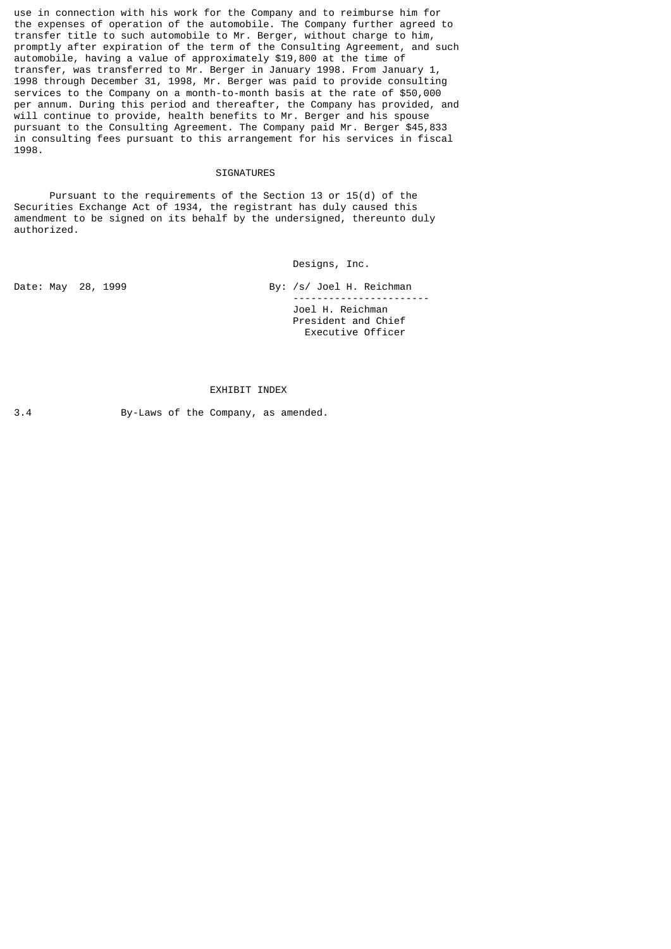use in connection with his work for the Company and to reimburse him for the expenses of operation of the automobile. The Company further agreed to transfer title to such automobile to Mr. Berger, without charge to him, promptly after expiration of the term of the Consulting Agreement, and such automobile, having a value of approximately \$19,800 at the time of transfer, was transferred to Mr. Berger in January 1998. From January 1, 1998 through December 31, 1998, Mr. Berger was paid to provide consulting services to the Company on a month-to-month basis at the rate of \$50,000 per annum. During this period and thereafter, the Company has provided, and will continue to provide, health benefits to Mr. Berger and his spouse pursuant to the Consulting Agreement. The Company paid Mr. Berger \$45,833 in consulting fees pursuant to this arrangement for his services in fiscal 1998.

# **STGNATURES**

 Pursuant to the requirements of the Section 13 or 15(d) of the Securities Exchange Act of 1934, the registrant has duly caused this amendment to be signed on its behalf by the undersigned, thereunto duly authorized.

Designs, Inc.

Date: May 28, 1999 **By:** /s/ Joel H. Reichman ----------------------- Joel H. Reichman President and Chief Executive Officer

EXHIBIT INDEX

3.4 By-Laws of the Company, as amended.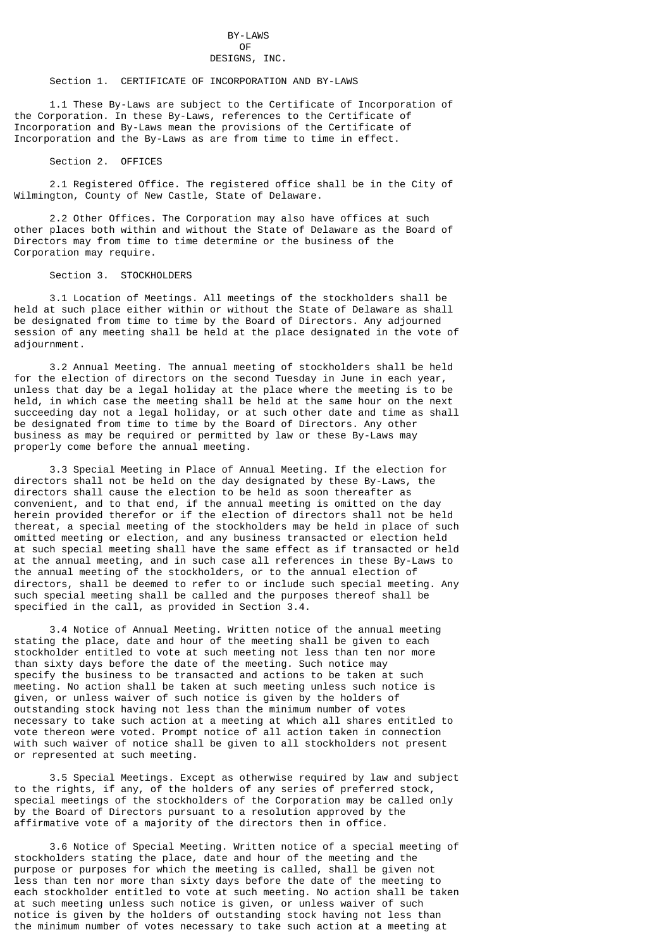## BY-LAWS **OF OF** DESIGNS, INC.

# Section 1. CERTIFICATE OF INCORPORATION AND BY-LAWS

 1.1 These By-Laws are subject to the Certificate of Incorporation of the Corporation. In these By-Laws, references to the Certificate of Incorporation and By-Laws mean the provisions of the Certificate of Incorporation and the By-Laws as are from time to time in effect.

## Section 2. OFFICES

 2.1 Registered Office. The registered office shall be in the City of Wilmington, County of New Castle, State of Delaware.

 2.2 Other Offices. The Corporation may also have offices at such other places both within and without the State of Delaware as the Board of Directors may from time to time determine or the business of the Corporation may require.

### Section 3. STOCKHOLDERS

 3.1 Location of Meetings. All meetings of the stockholders shall be held at such place either within or without the State of Delaware as shall be designated from time to time by the Board of Directors. Any adjourned session of any meeting shall be held at the place designated in the vote of adjournment.

 3.2 Annual Meeting. The annual meeting of stockholders shall be held for the election of directors on the second Tuesday in June in each year, unless that day be a legal holiday at the place where the meeting is to be held, in which case the meeting shall be held at the same hour on the next succeeding day not a legal holiday, or at such other date and time as shall be designated from time to time by the Board of Directors. Any other business as may be required or permitted by law or these By-Laws may properly come before the annual meeting.

 3.3 Special Meeting in Place of Annual Meeting. If the election for directors shall not be held on the day designated by these By-Laws, the directors shall cause the election to be held as soon thereafter as convenient, and to that end, if the annual meeting is omitted on the day herein provided therefor or if the election of directors shall not be held thereat, a special meeting of the stockholders may be held in place of such omitted meeting or election, and any business transacted or election held at such special meeting shall have the same effect as if transacted or held at the annual meeting, and in such case all references in these By-Laws to the annual meeting of the stockholders, or to the annual election of directors, shall be deemed to refer to or include such special meeting. Any such special meeting shall be called and the purposes thereof shall be specified in the call, as provided in Section 3.4.

 3.4 Notice of Annual Meeting. Written notice of the annual meeting stating the place, date and hour of the meeting shall be given to each stockholder entitled to vote at such meeting not less than ten nor more than sixty days before the date of the meeting. Such notice may specify the business to be transacted and actions to be taken at such meeting. No action shall be taken at such meeting unless such notice is given, or unless waiver of such notice is given by the holders of outstanding stock having not less than the minimum number of votes necessary to take such action at a meeting at which all shares entitled to vote thereon were voted. Prompt notice of all action taken in connection with such waiver of notice shall be given to all stockholders not present or represented at such meeting.

 3.5 Special Meetings. Except as otherwise required by law and subject to the rights, if any, of the holders of any series of preferred stock, special meetings of the stockholders of the Corporation may be called only by the Board of Directors pursuant to a resolution approved by the affirmative vote of a majority of the directors then in office.

 3.6 Notice of Special Meeting. Written notice of a special meeting of stockholders stating the place, date and hour of the meeting and the purpose or purposes for which the meeting is called, shall be given not less than ten nor more than sixty days before the date of the meeting to each stockholder entitled to vote at such meeting. No action shall be taken at such meeting unless such notice is given, or unless waiver of such notice is given by the holders of outstanding stock having not less than the minimum number of votes necessary to take such action at a meeting at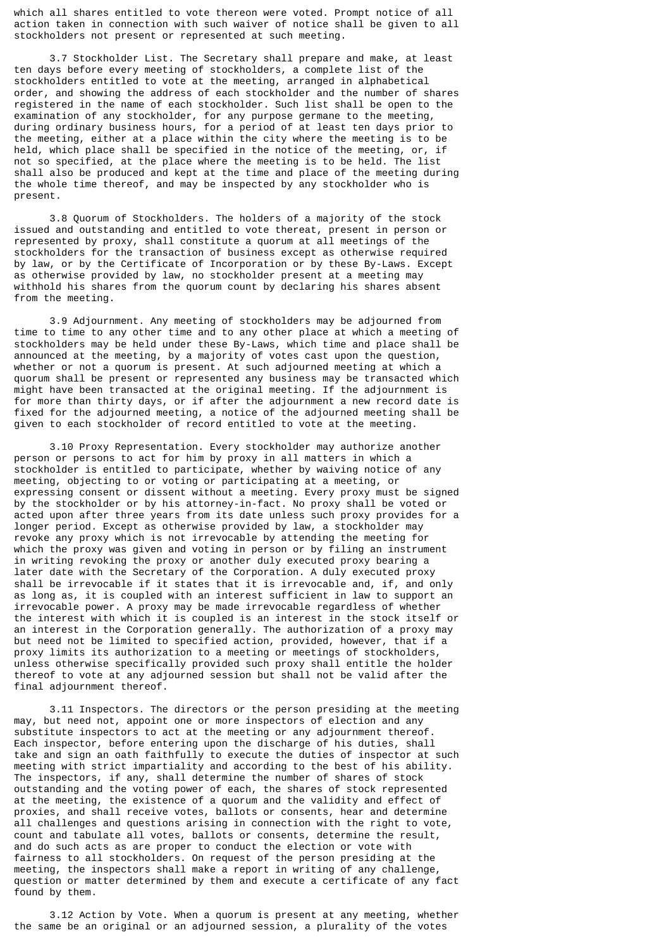which all shares entitled to vote thereon were voted. Prompt notice of all action taken in connection with such waiver of notice shall be given to all stockholders not present or represented at such meeting.

 3.7 Stockholder List. The Secretary shall prepare and make, at least ten days before every meeting of stockholders, a complete list of the stockholders entitled to vote at the meeting, arranged in alphabetical order, and showing the address of each stockholder and the number of shares registered in the name of each stockholder. Such list shall be open to the examination of any stockholder, for any purpose germane to the meeting, during ordinary business hours, for a period of at least ten days prior to the meeting, either at a place within the city where the meeting is to be held, which place shall be specified in the notice of the meeting, or, if not so specified, at the place where the meeting is to be held. The list shall also be produced and kept at the time and place of the meeting during the whole time thereof, and may be inspected by any stockholder who is present.

 3.8 Quorum of Stockholders. The holders of a majority of the stock issued and outstanding and entitled to vote thereat, present in person or represented by proxy, shall constitute a quorum at all meetings of the stockholders for the transaction of business except as otherwise required by law, or by the Certificate of Incorporation or by these By-Laws. Except as otherwise provided by law, no stockholder present at a meeting may withhold his shares from the quorum count by declaring his shares absent from the meeting.

 3.9 Adjournment. Any meeting of stockholders may be adjourned from time to time to any other time and to any other place at which a meeting of stockholders may be held under these By-Laws, which time and place shall be announced at the meeting, by a majority of votes cast upon the question, whether or not a quorum is present. At such adjourned meeting at which a quorum shall be present or represented any business may be transacted which might have been transacted at the original meeting. If the adjournment is for more than thirty days, or if after the adjournment a new record date is fixed for the adjourned meeting, a notice of the adjourned meeting shall be given to each stockholder of record entitled to vote at the meeting.

 3.10 Proxy Representation. Every stockholder may authorize another person or persons to act for him by proxy in all matters in which a stockholder is entitled to participate, whether by waiving notice of any meeting, objecting to or voting or participating at a meeting, or expressing consent or dissent without a meeting. Every proxy must be signed by the stockholder or by his attorney-in-fact. No proxy shall be voted or acted upon after three years from its date unless such proxy provides for a longer period. Except as otherwise provided by law, a stockholder may revoke any proxy which is not irrevocable by attending the meeting for which the proxy was given and voting in person or by filing an instrument in writing revoking the proxy or another duly executed proxy bearing a later date with the Secretary of the Corporation. A duly executed proxy shall be irrevocable if it states that it is irrevocable and, if, and only as long as, it is coupled with an interest sufficient in law to support an irrevocable power. A proxy may be made irrevocable regardless of whether the interest with which it is coupled is an interest in the stock itself or an interest in the Corporation generally. The authorization of a proxy may but need not be limited to specified action, provided, however, that if a proxy limits its authorization to a meeting or meetings of stockholders, unless otherwise specifically provided such proxy shall entitle the holder thereof to vote at any adjourned session but shall not be valid after the final adjournment thereof.

 3.11 Inspectors. The directors or the person presiding at the meeting may, but need not, appoint one or more inspectors of election and any substitute inspectors to act at the meeting or any adjournment thereof. Each inspector, before entering upon the discharge of his duties, shall take and sign an oath faithfully to execute the duties of inspector at such meeting with strict impartiality and according to the best of his ability. The inspectors, if any, shall determine the number of shares of stock outstanding and the voting power of each, the shares of stock represented at the meeting, the existence of a quorum and the validity and effect of proxies, and shall receive votes, ballots or consents, hear and determine all challenges and questions arising in connection with the right to vote, count and tabulate all votes, ballots or consents, determine the result, and do such acts as are proper to conduct the election or vote with fairness to all stockholders. On request of the person presiding at the meeting, the inspectors shall make a report in writing of any challenge, question or matter determined by them and execute a certificate of any fact found by them.

 3.12 Action by Vote. When a quorum is present at any meeting, whether the same be an original or an adjourned session, a plurality of the votes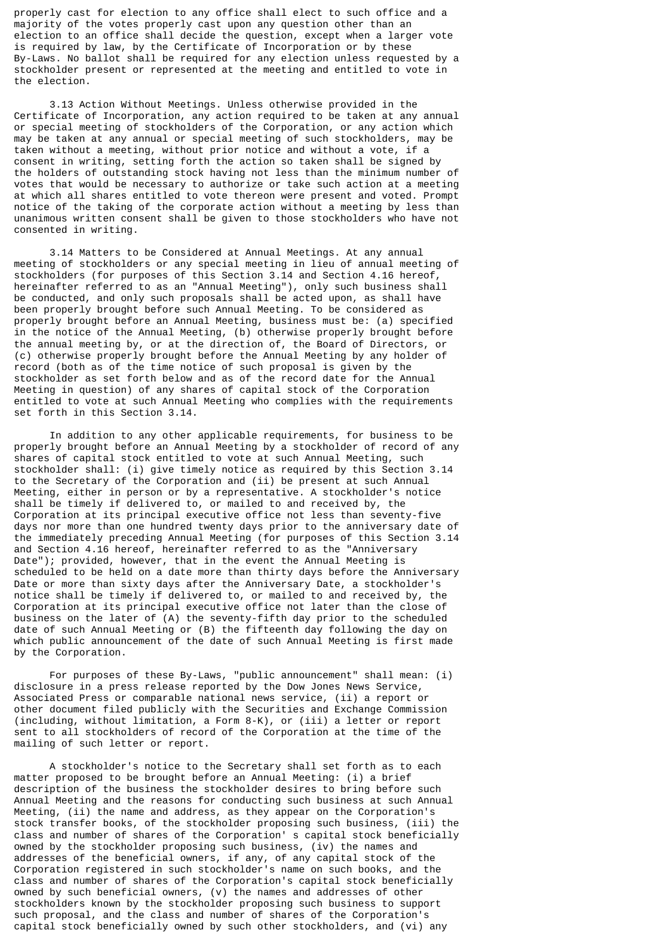properly cast for election to any office shall elect to such office and a majority of the votes properly cast upon any question other than an election to an office shall decide the question, except when a larger vote is required by law, by the Certificate of Incorporation or by these By-Laws. No ballot shall be required for any election unless requested by a stockholder present or represented at the meeting and entitled to vote in the election.

 3.13 Action Without Meetings. Unless otherwise provided in the Certificate of Incorporation, any action required to be taken at any annual or special meeting of stockholders of the Corporation, or any action which may be taken at any annual or special meeting of such stockholders, may be taken without a meeting, without prior notice and without a vote, if a consent in writing, setting forth the action so taken shall be signed by the holders of outstanding stock having not less than the minimum number of votes that would be necessary to authorize or take such action at a meeting at which all shares entitled to vote thereon were present and voted. Prompt notice of the taking of the corporate action without a meeting by less than unanimous written consent shall be given to those stockholders who have not consented in writing.

 3.14 Matters to be Considered at Annual Meetings. At any annual meeting of stockholders or any special meeting in lieu of annual meeting of stockholders (for purposes of this Section 3.14 and Section 4.16 hereof, hereinafter referred to as an "Annual Meeting"), only such business shall be conducted, and only such proposals shall be acted upon, as shall have been properly brought before such Annual Meeting. To be considered as properly brought before an Annual Meeting, business must be: (a) specified in the notice of the Annual Meeting, (b) otherwise properly brought before the annual meeting by, or at the direction of, the Board of Directors, or (c) otherwise properly brought before the Annual Meeting by any holder of record (both as of the time notice of such proposal is given by the stockholder as set forth below and as of the record date for the Annual Meeting in question) of any shares of capital stock of the Corporation entitled to vote at such Annual Meeting who complies with the requirements set forth in this Section 3.14.

 In addition to any other applicable requirements, for business to be properly brought before an Annual Meeting by a stockholder of record of any shares of capital stock entitled to vote at such Annual Meeting, such stockholder shall: (i) give timely notice as required by this Section 3.14 to the Secretary of the Corporation and (ii) be present at such Annual Meeting, either in person or by a representative. A stockholder's notice shall be timely if delivered to, or mailed to and received by, the Corporation at its principal executive office not less than seventy-five days nor more than one hundred twenty days prior to the anniversary date of the immediately preceding Annual Meeting (for purposes of this Section 3.14 and Section 4.16 hereof, hereinafter referred to as the "Anniversary Date"); provided, however, that in the event the Annual Meeting is scheduled to be held on a date more than thirty days before the Anniversary Date or more than sixty days after the Anniversary Date, a stockholder's notice shall be timely if delivered to, or mailed to and received by, the Corporation at its principal executive office not later than the close of business on the later of (A) the seventy-fifth day prior to the scheduled date of such Annual Meeting or (B) the fifteenth day following the day on which public announcement of the date of such Annual Meeting is first made by the Corporation.

 For purposes of these By-Laws, "public announcement" shall mean: (i) disclosure in a press release reported by the Dow Jones News Service, Associated Press or comparable national news service, (ii) a report or other document filed publicly with the Securities and Exchange Commission (including, without limitation, a Form 8-K), or (iii) a letter or report sent to all stockholders of record of the Corporation at the time of the mailing of such letter or report.

 A stockholder's notice to the Secretary shall set forth as to each matter proposed to be brought before an Annual Meeting: (i) a brief description of the business the stockholder desires to bring before such Annual Meeting and the reasons for conducting such business at such Annual Meeting, (ii) the name and address, as they appear on the Corporation's stock transfer books, of the stockholder proposing such business, (iii) the class and number of shares of the Corporation' s capital stock beneficially owned by the stockholder proposing such business, (iv) the names and addresses of the beneficial owners, if any, of any capital stock of the Corporation registered in such stockholder's name on such books, and the class and number of shares of the Corporation's capital stock beneficially owned by such beneficial owners, (v) the names and addresses of other stockholders known by the stockholder proposing such business to support such proposal, and the class and number of shares of the Corporation's capital stock beneficially owned by such other stockholders, and (vi) any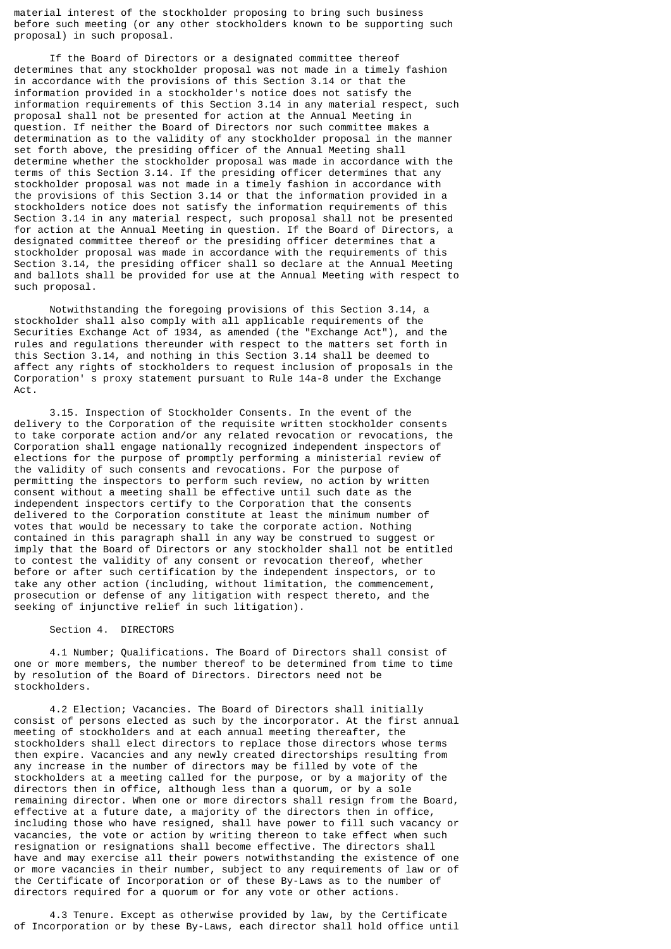material interest of the stockholder proposing to bring such business before such meeting (or any other stockholders known to be supporting such proposal) in such proposal.

 If the Board of Directors or a designated committee thereof determines that any stockholder proposal was not made in a timely fashion in accordance with the provisions of this Section 3.14 or that the information provided in a stockholder's notice does not satisfy the information requirements of this Section 3.14 in any material respect, such proposal shall not be presented for action at the Annual Meeting in question. If neither the Board of Directors nor such committee makes a determination as to the validity of any stockholder proposal in the manner set forth above, the presiding officer of the Annual Meeting shall determine whether the stockholder proposal was made in accordance with the terms of this Section 3.14. If the presiding officer determines that any stockholder proposal was not made in a timely fashion in accordance with the provisions of this Section 3.14 or that the information provided in a stockholders notice does not satisfy the information requirements of this Section 3.14 in any material respect, such proposal shall not be presented for action at the Annual Meeting in question. If the Board of Directors, a designated committee thereof or the presiding officer determines that a stockholder proposal was made in accordance with the requirements of this Section 3.14, the presiding officer shall so declare at the Annual Meeting and ballots shall be provided for use at the Annual Meeting with respect to such proposal.

 Notwithstanding the foregoing provisions of this Section 3.14, a stockholder shall also comply with all applicable requirements of the Securities Exchange Act of 1934, as amended (the "Exchange Act"), and the rules and regulations thereunder with respect to the matters set forth in this Section 3.14, and nothing in this Section 3.14 shall be deemed to affect any rights of stockholders to request inclusion of proposals in the Corporation' s proxy statement pursuant to Rule 14a-8 under the Exchange Act.

 3.15. Inspection of Stockholder Consents. In the event of the delivery to the Corporation of the requisite written stockholder consents to take corporate action and/or any related revocation or revocations, the Corporation shall engage nationally recognized independent inspectors of elections for the purpose of promptly performing a ministerial review of the validity of such consents and revocations. For the purpose of permitting the inspectors to perform such review, no action by written consent without a meeting shall be effective until such date as the independent inspectors certify to the Corporation that the consents delivered to the Corporation constitute at least the minimum number of votes that would be necessary to take the corporate action. Nothing contained in this paragraph shall in any way be construed to suggest or imply that the Board of Directors or any stockholder shall not be entitled to contest the validity of any consent or revocation thereof, whether before or after such certification by the independent inspectors, or to take any other action (including, without limitation, the commencement, prosecution or defense of any litigation with respect thereto, and the seeking of injunctive relief in such litigation).

# Section 4. DIRECTORS

 4.1 Number; Qualifications. The Board of Directors shall consist of one or more members, the number thereof to be determined from time to time by resolution of the Board of Directors. Directors need not be stockholders.

 4.2 Election; Vacancies. The Board of Directors shall initially consist of persons elected as such by the incorporator. At the first annual meeting of stockholders and at each annual meeting thereafter, the stockholders shall elect directors to replace those directors whose terms then expire. Vacancies and any newly created directorships resulting from any increase in the number of directors may be filled by vote of the stockholders at a meeting called for the purpose, or by a majority of the directors then in office, although less than a quorum, or by a sole remaining director. When one or more directors shall resign from the Board, effective at a future date, a majority of the directors then in office, including those who have resigned, shall have power to fill such vacancy or vacancies, the vote or action by writing thereon to take effect when such resignation or resignations shall become effective. The directors shall have and may exercise all their powers notwithstanding the existence of one or more vacancies in their number, subject to any requirements of law or of the Certificate of Incorporation or of these By-Laws as to the number of directors required for a quorum or for any vote or other actions.

 4.3 Tenure. Except as otherwise provided by law, by the Certificate of Incorporation or by these By-Laws, each director shall hold office until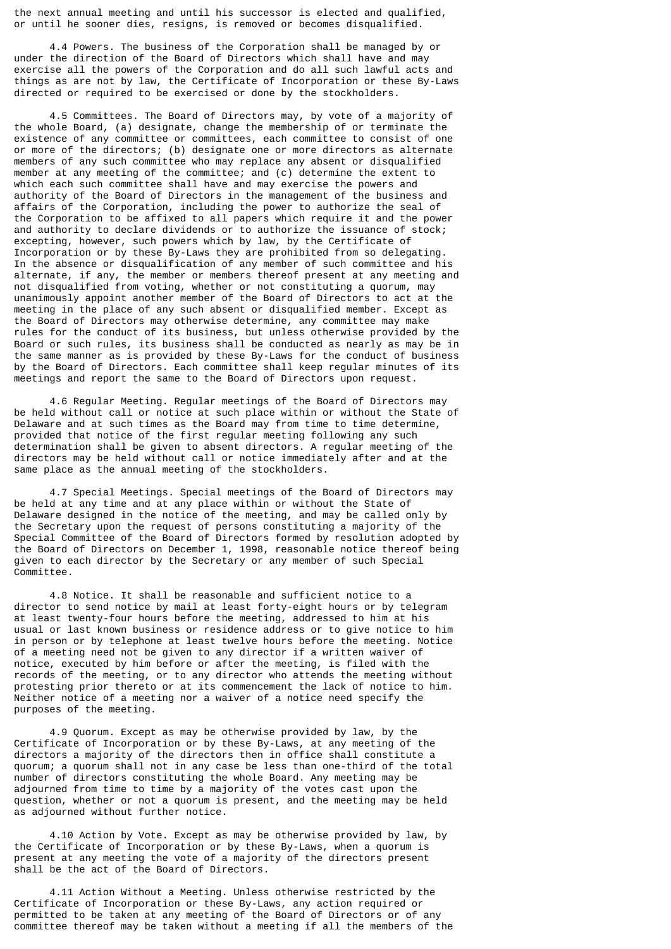the next annual meeting and until his successor is elected and qualified, or until he sooner dies, resigns, is removed or becomes disqualified.

 4.4 Powers. The business of the Corporation shall be managed by or under the direction of the Board of Directors which shall have and may exercise all the powers of the Corporation and do all such lawful acts and things as are not by law, the Certificate of Incorporation or these By-Laws directed or required to be exercised or done by the stockholders.

 4.5 Committees. The Board of Directors may, by vote of a majority of the whole Board, (a) designate, change the membership of or terminate the existence of any committee or committees, each committee to consist of one or more of the directors; (b) designate one or more directors as alternate members of any such committee who may replace any absent or disqualified member at any meeting of the committee; and (c) determine the extent to which each such committee shall have and may exercise the powers and authority of the Board of Directors in the management of the business and affairs of the Corporation, including the power to authorize the seal of the Corporation to be affixed to all papers which require it and the power and authority to declare dividends or to authorize the issuance of stock; excepting, however, such powers which by law, by the Certificate of Incorporation or by these By-Laws they are prohibited from so delegating. In the absence or disqualification of any member of such committee and his alternate, if any, the member or members thereof present at any meeting and not disqualified from voting, whether or not constituting a quorum, may unanimously appoint another member of the Board of Directors to act at the meeting in the place of any such absent or disqualified member. Except as the Board of Directors may otherwise determine, any committee may make rules for the conduct of its business, but unless otherwise provided by the Board or such rules, its business shall be conducted as nearly as may be in the same manner as is provided by these By-Laws for the conduct of business by the Board of Directors. Each committee shall keep regular minutes of its meetings and report the same to the Board of Directors upon request.

 4.6 Regular Meeting. Regular meetings of the Board of Directors may be held without call or notice at such place within or without the State of Delaware and at such times as the Board may from time to time determine, provided that notice of the first regular meeting following any such determination shall be given to absent directors. A regular meeting of the directors may be held without call or notice immediately after and at the same place as the annual meeting of the stockholders.

 4.7 Special Meetings. Special meetings of the Board of Directors may be held at any time and at any place within or without the State of Delaware designed in the notice of the meeting, and may be called only by the Secretary upon the request of persons constituting a majority of the Special Committee of the Board of Directors formed by resolution adopted by the Board of Directors on December 1, 1998, reasonable notice thereof being given to each director by the Secretary or any member of such Special Committee.

 4.8 Notice. It shall be reasonable and sufficient notice to a director to send notice by mail at least forty-eight hours or by telegram at least twenty-four hours before the meeting, addressed to him at his usual or last known business or residence address or to give notice to him in person or by telephone at least twelve hours before the meeting. Notice of a meeting need not be given to any director if a written waiver of notice, executed by him before or after the meeting, is filed with the records of the meeting, or to any director who attends the meeting without protesting prior thereto or at its commencement the lack of notice to him. Neither notice of a meeting nor a waiver of a notice need specify the purposes of the meeting.

 4.9 Quorum. Except as may be otherwise provided by law, by the Certificate of Incorporation or by these By-Laws, at any meeting of the directors a majority of the directors then in office shall constitute a quorum; a quorum shall not in any case be less than one-third of the total number of directors constituting the whole Board. Any meeting may be adjourned from time to time by a majority of the votes cast upon the question, whether or not a quorum is present, and the meeting may be held as adjourned without further notice.

 4.10 Action by Vote. Except as may be otherwise provided by law, by the Certificate of Incorporation or by these By-Laws, when a quorum is present at any meeting the vote of a majority of the directors present shall be the act of the Board of Directors.

 4.11 Action Without a Meeting. Unless otherwise restricted by the Certificate of Incorporation or these By-Laws, any action required or permitted to be taken at any meeting of the Board of Directors or of any committee thereof may be taken without a meeting if all the members of the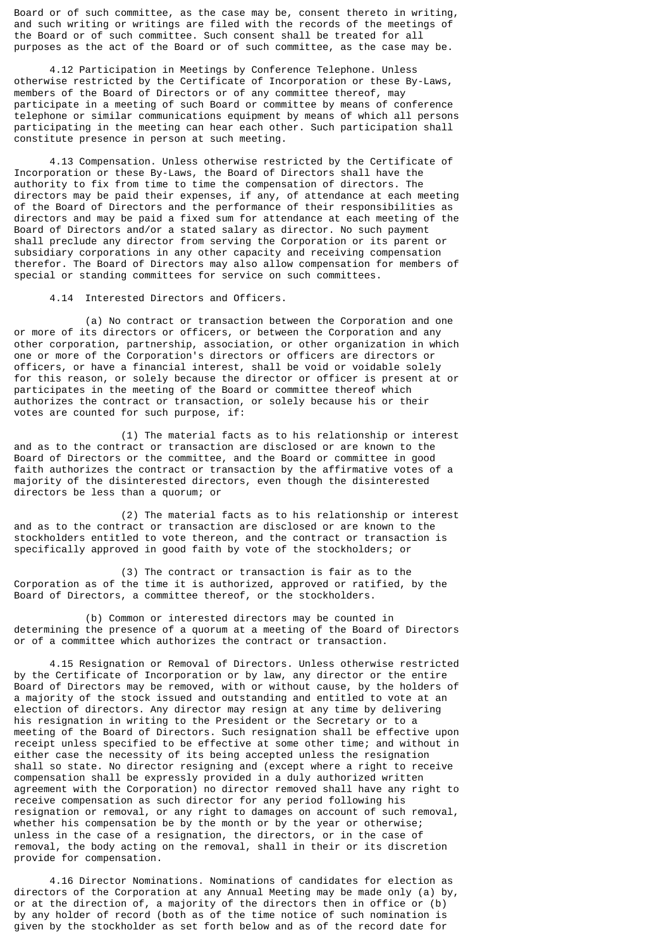Board or of such committee, as the case may be, consent thereto in writing, and such writing or writings are filed with the records of the meetings of the Board or of such committee. Such consent shall be treated for all purposes as the act of the Board or of such committee, as the case may be.

 4.12 Participation in Meetings by Conference Telephone. Unless otherwise restricted by the Certificate of Incorporation or these By-Laws, members of the Board of Directors or of any committee thereof, may participate in a meeting of such Board or committee by means of conference telephone or similar communications equipment by means of which all persons participating in the meeting can hear each other. Such participation shall constitute presence in person at such meeting.

 4.13 Compensation. Unless otherwise restricted by the Certificate of Incorporation or these By-Laws, the Board of Directors shall have the authority to fix from time to time the compensation of directors. The directors may be paid their expenses, if any, of attendance at each meeting of the Board of Directors and the performance of their responsibilities as directors and may be paid a fixed sum for attendance at each meeting of the Board of Directors and/or a stated salary as director. No such payment shall preclude any director from serving the Corporation or its parent or subsidiary corporations in any other capacity and receiving compensation therefor. The Board of Directors may also allow compensation for members of special or standing committees for service on such committees.

4.14 Interested Directors and Officers.

 (a) No contract or transaction between the Corporation and one or more of its directors or officers, or between the Corporation and any other corporation, partnership, association, or other organization in which one or more of the Corporation's directors or officers are directors or officers, or have a financial interest, shall be void or voidable solely for this reason, or solely because the director or officer is present at or participates in the meeting of the Board or committee thereof which authorizes the contract or transaction, or solely because his or their votes are counted for such purpose, if:

 (1) The material facts as to his relationship or interest and as to the contract or transaction are disclosed or are known to the Board of Directors or the committee, and the Board or committee in good faith authorizes the contract or transaction by the affirmative votes of a majority of the disinterested directors, even though the disinterested directors be less than a quorum; or

 (2) The material facts as to his relationship or interest and as to the contract or transaction are disclosed or are known to the stockholders entitled to vote thereon, and the contract or transaction is specifically approved in good faith by vote of the stockholders; or

 (3) The contract or transaction is fair as to the Corporation as of the time it is authorized, approved or ratified, by the Board of Directors, a committee thereof, or the stockholders.

 (b) Common or interested directors may be counted in determining the presence of a quorum at a meeting of the Board of Directors or of a committee which authorizes the contract or transaction.

 4.15 Resignation or Removal of Directors. Unless otherwise restricted by the Certificate of Incorporation or by law, any director or the entire Board of Directors may be removed, with or without cause, by the holders of a majority of the stock issued and outstanding and entitled to vote at an election of directors. Any director may resign at any time by delivering his resignation in writing to the President or the Secretary or to a meeting of the Board of Directors. Such resignation shall be effective upon receipt unless specified to be effective at some other time; and without in either case the necessity of its being accepted unless the resignation shall so state. No director resigning and (except where a right to receive compensation shall be expressly provided in a duly authorized written agreement with the Corporation) no director removed shall have any right to receive compensation as such director for any period following his resignation or removal, or any right to damages on account of such removal, whether his compensation be by the month or by the year or otherwise; unless in the case of a resignation, the directors, or in the case of removal, the body acting on the removal, shall in their or its discretion provide for compensation.

 4.16 Director Nominations. Nominations of candidates for election as directors of the Corporation at any Annual Meeting may be made only (a) by, or at the direction of, a majority of the directors then in office or (b) by any holder of record (both as of the time notice of such nomination is given by the stockholder as set forth below and as of the record date for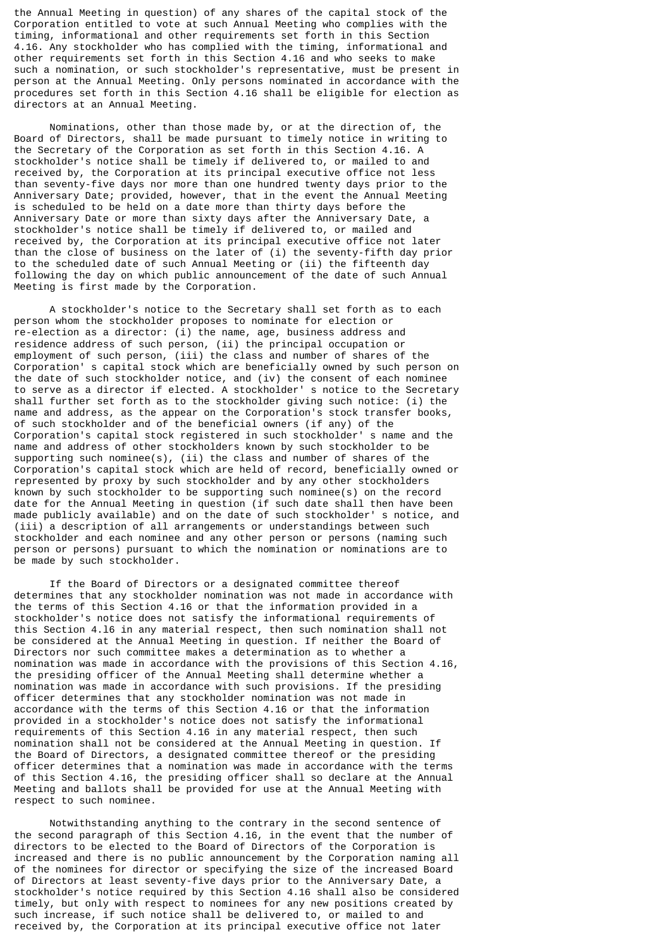the Annual Meeting in question) of any shares of the capital stock of the Corporation entitled to vote at such Annual Meeting who complies with the timing, informational and other requirements set forth in this Section 4.16. Any stockholder who has complied with the timing, informational and other requirements set forth in this Section 4.16 and who seeks to make such a nomination, or such stockholder's representative, must be present in person at the Annual Meeting. Only persons nominated in accordance with the procedures set forth in this Section 4.16 shall be eligible for election as directors at an Annual Meeting.

 Nominations, other than those made by, or at the direction of, the Board of Directors, shall be made pursuant to timely notice in writing to the Secretary of the Corporation as set forth in this Section 4.16. A stockholder's notice shall be timely if delivered to, or mailed to and received by, the Corporation at its principal executive office not less than seventy-five days nor more than one hundred twenty days prior to the Anniversary Date; provided, however, that in the event the Annual Meeting is scheduled to be held on a date more than thirty days before the Anniversary Date or more than sixty days after the Anniversary Date, a stockholder's notice shall be timely if delivered to, or mailed and received by, the Corporation at its principal executive office not later than the close of business on the later of (i) the seventy-fifth day prior to the scheduled date of such Annual Meeting or (ii) the fifteenth day following the day on which public announcement of the date of such Annual Meeting is first made by the Corporation.

 A stockholder's notice to the Secretary shall set forth as to each person whom the stockholder proposes to nominate for election or re-election as a director: (i) the name, age, business address and residence address of such person, (ii) the principal occupation or employment of such person, (iii) the class and number of shares of the Corporation' s capital stock which are beneficially owned by such person on the date of such stockholder notice, and (iv) the consent of each nominee to serve as a director if elected. A stockholder' s notice to the Secretary shall further set forth as to the stockholder giving such notice: (i) the name and address, as the appear on the Corporation's stock transfer books, of such stockholder and of the beneficial owners (if any) of the Corporation's capital stock registered in such stockholder' s name and the name and address of other stockholders known by such stockholder to be supporting such nominee(s), (ii) the class and number of shares of the Corporation's capital stock which are held of record, beneficially owned or represented by proxy by such stockholder and by any other stockholders known by such stockholder to be supporting such nominee(s) on the record date for the Annual Meeting in question (if such date shall then have been made publicly available) and on the date of such stockholder' s notice, and (iii) a description of all arrangements or understandings between such stockholder and each nominee and any other person or persons (naming such person or persons) pursuant to which the nomination or nominations are to be made by such stockholder.

 If the Board of Directors or a designated committee thereof determines that any stockholder nomination was not made in accordance with the terms of this Section 4.16 or that the information provided in a stockholder's notice does not satisfy the informational requirements of this Section 4.l6 in any material respect, then such nomination shall not be considered at the Annual Meeting in question. If neither the Board of Directors nor such committee makes a determination as to whether a nomination was made in accordance with the provisions of this Section 4.16, the presiding officer of the Annual Meeting shall determine whether a nomination was made in accordance with such provisions. If the presiding officer determines that any stockholder nomination was not made in accordance with the terms of this Section 4.16 or that the information provided in a stockholder's notice does not satisfy the informational requirements of this Section 4.16 in any material respect, then such nomination shall not be considered at the Annual Meeting in question. If the Board of Directors, a designated committee thereof or the presiding officer determines that a nomination was made in accordance with the terms of this Section 4.16, the presiding officer shall so declare at the Annual Meeting and ballots shall be provided for use at the Annual Meeting with respect to such nominee.

 Notwithstanding anything to the contrary in the second sentence of the second paragraph of this Section 4.16, in the event that the number of directors to be elected to the Board of Directors of the Corporation is increased and there is no public announcement by the Corporation naming all of the nominees for director or specifying the size of the increased Board of Directors at least seventy-five days prior to the Anniversary Date, a stockholder's notice required by this Section 4.16 shall also be considered timely, but only with respect to nominees for any new positions created by such increase, if such notice shall be delivered to, or mailed to and received by, the Corporation at its principal executive office not later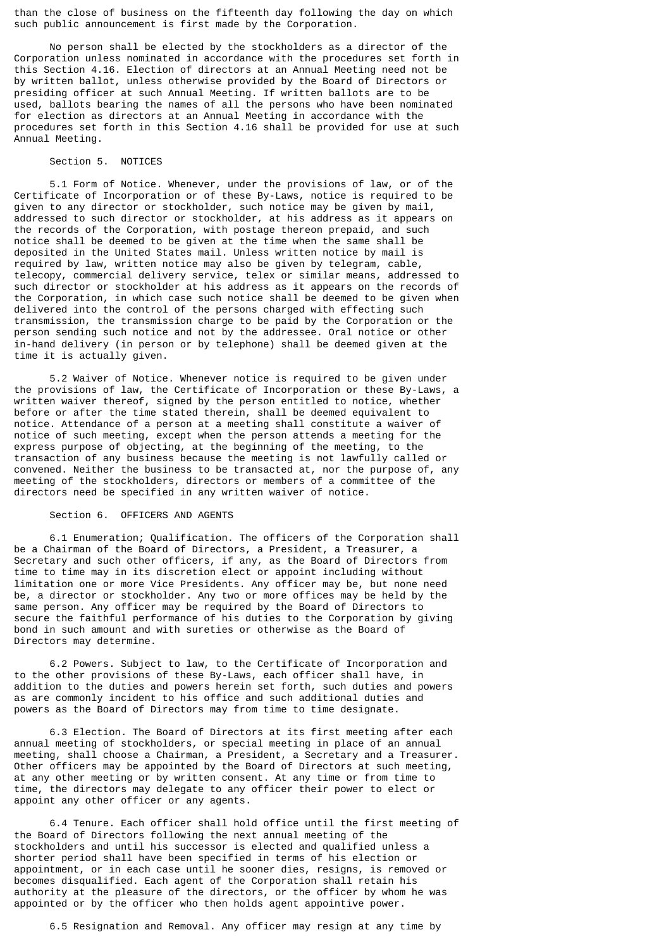than the close of business on the fifteenth day following the day on which such public announcement is first made by the Corporation.

 No person shall be elected by the stockholders as a director of the Corporation unless nominated in accordance with the procedures set forth in this Section 4.16. Election of directors at an Annual Meeting need not be by written ballot, unless otherwise provided by the Board of Directors or presiding officer at such Annual Meeting. If written ballots are to be used, ballots bearing the names of all the persons who have been nominated for election as directors at an Annual Meeting in accordance with the procedures set forth in this Section 4.16 shall be provided for use at such Annual Meeting.

## Section 5. NOTICES

 5.1 Form of Notice. Whenever, under the provisions of law, or of the Certificate of Incorporation or of these By-Laws, notice is required to be given to any director or stockholder, such notice may be given by mail, addressed to such director or stockholder, at his address as it appears on the records of the Corporation, with postage thereon prepaid, and such notice shall be deemed to be given at the time when the same shall be deposited in the United States mail. Unless written notice by mail is required by law, written notice may also be given by telegram, cable, telecopy, commercial delivery service, telex or similar means, addressed to such director or stockholder at his address as it appears on the records of the Corporation, in which case such notice shall be deemed to be given when delivered into the control of the persons charged with effecting such transmission, the transmission charge to be paid by the Corporation or the person sending such notice and not by the addressee. Oral notice or other in-hand delivery (in person or by telephone) shall be deemed given at the time it is actually given.

 5.2 Waiver of Notice. Whenever notice is required to be given under the provisions of law, the Certificate of Incorporation or these By-Laws, a written waiver thereof, signed by the person entitled to notice, whether before or after the time stated therein, shall be deemed equivalent to notice. Attendance of a person at a meeting shall constitute a waiver of notice of such meeting, except when the person attends a meeting for the express purpose of objecting, at the beginning of the meeting, to the transaction of any business because the meeting is not lawfully called or convened. Neither the business to be transacted at, nor the purpose of, any meeting of the stockholders, directors or members of a committee of the directors need be specified in any written waiver of notice.

## Section 6. OFFICERS AND AGENTS

 6.1 Enumeration; Qualification. The officers of the Corporation shall be a Chairman of the Board of Directors, a President, a Treasurer, a Secretary and such other officers, if any, as the Board of Directors from time to time may in its discretion elect or appoint including without limitation one or more Vice Presidents. Any officer may be, but none need be, a director or stockholder. Any two or more offices may be held by the same person. Any officer may be required by the Board of Directors to secure the faithful performance of his duties to the Corporation by giving bond in such amount and with sureties or otherwise as the Board of Directors may determine.

 6.2 Powers. Subject to law, to the Certificate of Incorporation and to the other provisions of these By-Laws, each officer shall have, in addition to the duties and powers herein set forth, such duties and powers as are commonly incident to his office and such additional duties and powers as the Board of Directors may from time to time designate.

 6.3 Election. The Board of Directors at its first meeting after each annual meeting of stockholders, or special meeting in place of an annual meeting, shall choose a Chairman, a President, a Secretary and a Treasurer. Other officers may be appointed by the Board of Directors at such meeting, at any other meeting or by written consent. At any time or from time to time, the directors may delegate to any officer their power to elect or appoint any other officer or any agents.

 6.4 Tenure. Each officer shall hold office until the first meeting of the Board of Directors following the next annual meeting of the stockholders and until his successor is elected and qualified unless a shorter period shall have been specified in terms of his election or appointment, or in each case until he sooner dies, resigns, is removed or becomes disqualified. Each agent of the Corporation shall retain his authority at the pleasure of the directors, or the officer by whom he was appointed or by the officer who then holds agent appointive power.

6.5 Resignation and Removal. Any officer may resign at any time by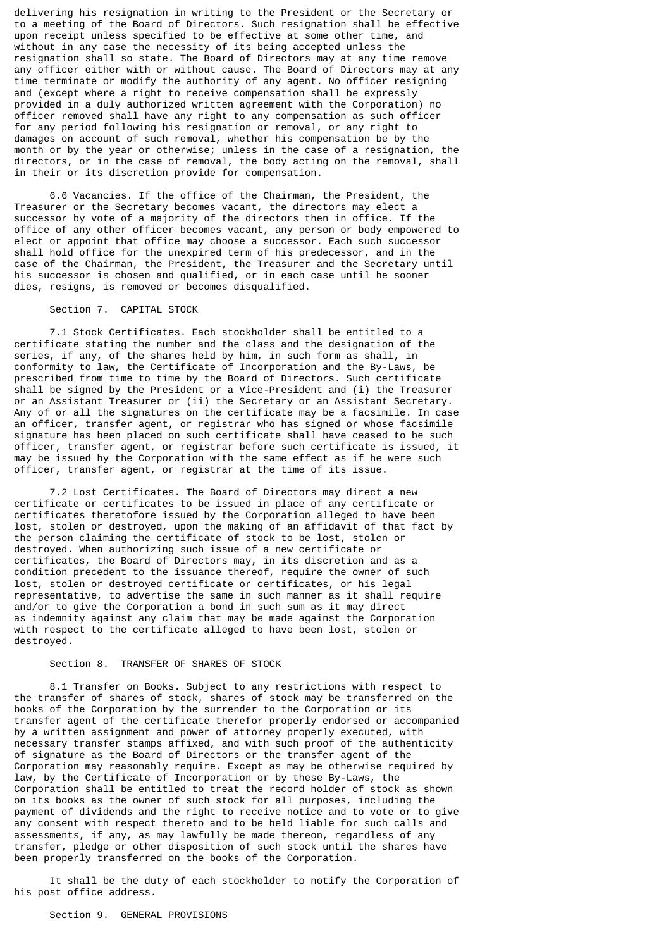delivering his resignation in writing to the President or the Secretary or to a meeting of the Board of Directors. Such resignation shall be effective upon receipt unless specified to be effective at some other time, and without in any case the necessity of its being accepted unless the resignation shall so state. The Board of Directors may at any time remove any officer either with or without cause. The Board of Directors may at any time terminate or modify the authority of any agent. No officer resigning and (except where a right to receive compensation shall be expressly provided in a duly authorized written agreement with the Corporation) no officer removed shall have any right to any compensation as such officer for any period following his resignation or removal, or any right to damages on account of such removal, whether his compensation be by the month or by the year or otherwise; unless in the case of a resignation, the directors, or in the case of removal, the body acting on the removal, shall in their or its discretion provide for compensation.

 6.6 Vacancies. If the office of the Chairman, the President, the Treasurer or the Secretary becomes vacant, the directors may elect a successor by vote of a majority of the directors then in office. If the office of any other officer becomes vacant, any person or body empowered to elect or appoint that office may choose a successor. Each such successor shall hold office for the unexpired term of his predecessor, and in the case of the Chairman, the President, the Treasurer and the Secretary until his successor is chosen and qualified, or in each case until he sooner dies, resigns, is removed or becomes disqualified.

## Section 7. CAPITAL STOCK

 7.1 Stock Certificates. Each stockholder shall be entitled to a certificate stating the number and the class and the designation of the series, if any, of the shares held by him, in such form as shall, in conformity to law, the Certificate of Incorporation and the By-Laws, be prescribed from time to time by the Board of Directors. Such certificate shall be signed by the President or a Vice-President and (i) the Treasurer or an Assistant Treasurer or (ii) the Secretary or an Assistant Secretary. Any of or all the signatures on the certificate may be a facsimile. In case an officer, transfer agent, or registrar who has signed or whose facsimile signature has been placed on such certificate shall have ceased to be such officer, transfer agent, or registrar before such certificate is issued, it may be issued by the Corporation with the same effect as if he were such officer, transfer agent, or registrar at the time of its issue.

 7.2 Lost Certificates. The Board of Directors may direct a new certificate or certificates to be issued in place of any certificate or certificates theretofore issued by the Corporation alleged to have been lost, stolen or destroyed, upon the making of an affidavit of that fact by the person claiming the certificate of stock to be lost, stolen or destroyed. When authorizing such issue of a new certificate or certificates, the Board of Directors may, in its discretion and as a condition precedent to the issuance thereof, require the owner of such lost, stolen or destroyed certificate or certificates, or his legal representative, to advertise the same in such manner as it shall require and/or to give the Corporation a bond in such sum as it may direct as indemnity against any claim that may be made against the Corporation with respect to the certificate alleged to have been lost, stolen or destroyed.

### Section 8. TRANSFER OF SHARES OF STOCK

 8.1 Transfer on Books. Subject to any restrictions with respect to the transfer of shares of stock, shares of stock may be transferred on the books of the Corporation by the surrender to the Corporation or its transfer agent of the certificate therefor properly endorsed or accompanied by a written assignment and power of attorney properly executed, with necessary transfer stamps affixed, and with such proof of the authenticity of signature as the Board of Directors or the transfer agent of the Corporation may reasonably require. Except as may be otherwise required by law, by the Certificate of Incorporation or by these By-Laws, the Corporation shall be entitled to treat the record holder of stock as shown on its books as the owner of such stock for all purposes, including the payment of dividends and the right to receive notice and to vote or to give any consent with respect thereto and to be held liable for such calls and assessments, if any, as may lawfully be made thereon, regardless of any transfer, pledge or other disposition of such stock until the shares have been properly transferred on the books of the Corporation.

 It shall be the duty of each stockholder to notify the Corporation of his post office address.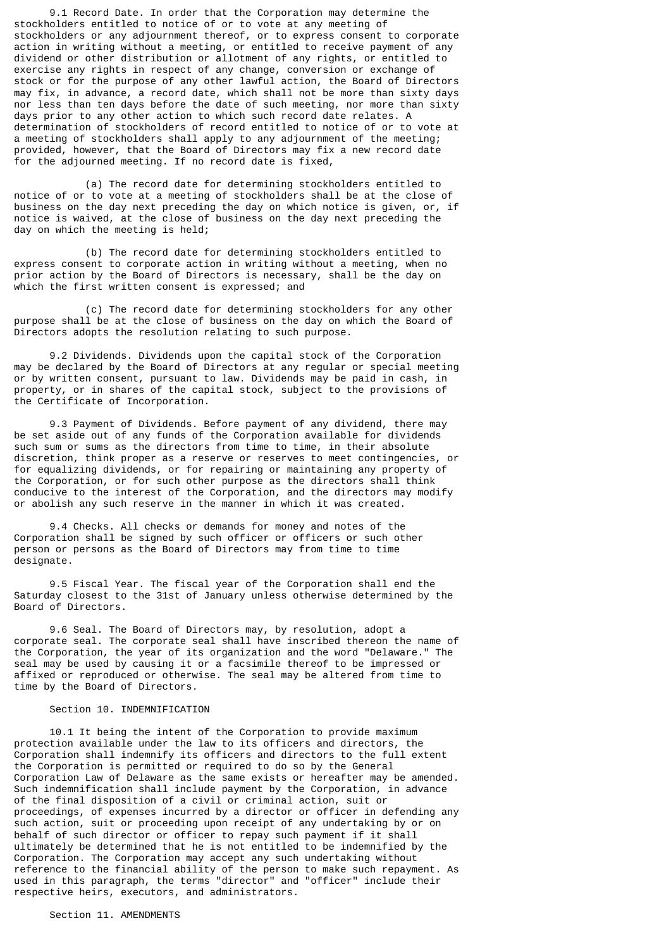9.1 Record Date. In order that the Corporation may determine the stockholders entitled to notice of or to vote at any meeting of stockholders or any adjournment thereof, or to express consent to corporate action in writing without a meeting, or entitled to receive payment of any dividend or other distribution or allotment of any rights, or entitled to exercise any rights in respect of any change, conversion or exchange of stock or for the purpose of any other lawful action, the Board of Directors may fix, in advance, a record date, which shall not be more than sixty days nor less than ten days before the date of such meeting, nor more than sixty days prior to any other action to which such record date relates. A determination of stockholders of record entitled to notice of or to vote at a meeting of stockholders shall apply to any adjournment of the meeting; provided, however, that the Board of Directors may fix a new record date for the adjourned meeting. If no record date is fixed,

 (a) The record date for determining stockholders entitled to notice of or to vote at a meeting of stockholders shall be at the close of business on the day next preceding the day on which notice is given, or, if notice is waived, at the close of business on the day next preceding the day on which the meeting is held;

 (b) The record date for determining stockholders entitled to express consent to corporate action in writing without a meeting, when no prior action by the Board of Directors is necessary, shall be the day on which the first written consent is expressed; and

 (c) The record date for determining stockholders for any other purpose shall be at the close of business on the day on which the Board of Directors adopts the resolution relating to such purpose.

 9.2 Dividends. Dividends upon the capital stock of the Corporation may be declared by the Board of Directors at any regular or special meeting or by written consent, pursuant to law. Dividends may be paid in cash, in property, or in shares of the capital stock, subject to the provisions of the Certificate of Incorporation.

 9.3 Payment of Dividends. Before payment of any dividend, there may be set aside out of any funds of the Corporation available for dividends such sum or sums as the directors from time to time, in their absolute discretion, think proper as a reserve or reserves to meet contingencies, or for equalizing dividends, or for repairing or maintaining any property of the Corporation, or for such other purpose as the directors shall think conducive to the interest of the Corporation, and the directors may modify or abolish any such reserve in the manner in which it was created.

 9.4 Checks. All checks or demands for money and notes of the Corporation shall be signed by such officer or officers or such other person or persons as the Board of Directors may from time to time designate.

 9.5 Fiscal Year. The fiscal year of the Corporation shall end the Saturday closest to the 31st of January unless otherwise determined by the Board of Directors.

 9.6 Seal. The Board of Directors may, by resolution, adopt a corporate seal. The corporate seal shall have inscribed thereon the name of the Corporation, the year of its organization and the word "Delaware." The seal may be used by causing it or a facsimile thereof to be impressed or affixed or reproduced or otherwise. The seal may be altered from time to time by the Board of Directors.

# Section 10. INDEMNIFICATION

 10.1 It being the intent of the Corporation to provide maximum protection available under the law to its officers and directors, the Corporation shall indemnify its officers and directors to the full extent the Corporation is permitted or required to do so by the General Corporation Law of Delaware as the same exists or hereafter may be amended. Such indemnification shall include payment by the Corporation, in advance of the final disposition of a civil or criminal action, suit or proceedings, of expenses incurred by a director or officer in defending any such action, suit or proceeding upon receipt of any undertaking by or on behalf of such director or officer to repay such payment if it shall ultimately be determined that he is not entitled to be indemnified by the Corporation. The Corporation may accept any such undertaking without reference to the financial ability of the person to make such repayment. As used in this paragraph, the terms "director" and "officer" include their respective heirs, executors, and administrators.